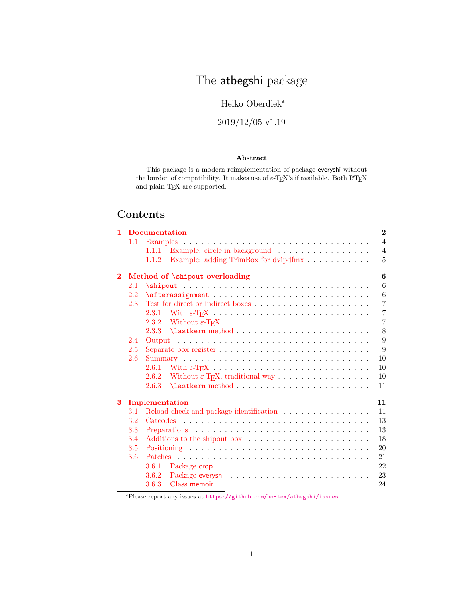# The atbegshi package

# Heiko Oberdiek<sup>∗</sup>

# 2019/12/05 v1.19

## Abstract

This package is a modern reimplementation of package everyshi without the burden of compatibility. It makes use of  $\varepsilon$ -T<sub>E</sub>X's if available. Both I<sup>g</sup>T<sub>E</sub>X and plain TEX are supported.

# Contents

| $\mathbf{1}$ |         | $\bf{2}$<br><b>Documentation</b>                                                       |                |  |  |  |  |  |  |  |  |  |
|--------------|---------|----------------------------------------------------------------------------------------|----------------|--|--|--|--|--|--|--|--|--|
|              | 1.1     |                                                                                        |                |  |  |  |  |  |  |  |  |  |
|              |         | Example: circle in background<br>1.1.1                                                 | $\overline{4}$ |  |  |  |  |  |  |  |  |  |
|              |         | 1.1.2                                                                                  | $\overline{5}$ |  |  |  |  |  |  |  |  |  |
| $\bf{2}$     |         | Method of \shipout overloading                                                         | 6              |  |  |  |  |  |  |  |  |  |
|              | $2.1\,$ | $\simeq$                                                                               |                |  |  |  |  |  |  |  |  |  |
|              | 2.2     |                                                                                        | 6              |  |  |  |  |  |  |  |  |  |
|              | 2.3     |                                                                                        | $\overline{7}$ |  |  |  |  |  |  |  |  |  |
|              |         |                                                                                        | $\overline{7}$ |  |  |  |  |  |  |  |  |  |
|              |         |                                                                                        | $\overline{7}$ |  |  |  |  |  |  |  |  |  |
|              |         |                                                                                        | 8              |  |  |  |  |  |  |  |  |  |
|              | 2.4     |                                                                                        | 9              |  |  |  |  |  |  |  |  |  |
|              | 2.5     | Separate box register $\ldots \ldots \ldots \ldots \ldots \ldots \ldots \ldots \ldots$ | 9              |  |  |  |  |  |  |  |  |  |
|              | 2.6     |                                                                                        | 10             |  |  |  |  |  |  |  |  |  |
|              |         | 2.6.1                                                                                  | 10             |  |  |  |  |  |  |  |  |  |
|              |         | Without $\varepsilon$ -T <sub>F</sub> X, traditional way<br>2.6.2                      | 10             |  |  |  |  |  |  |  |  |  |
|              |         | 2.6.3                                                                                  | 11             |  |  |  |  |  |  |  |  |  |
| 3            |         | Implementation<br>11                                                                   |                |  |  |  |  |  |  |  |  |  |
|              | $3.1\,$ | Reload check and package identification                                                | 11             |  |  |  |  |  |  |  |  |  |
|              | $3.2\,$ |                                                                                        |                |  |  |  |  |  |  |  |  |  |
|              | 3.3     |                                                                                        | 13             |  |  |  |  |  |  |  |  |  |
|              | 3.4     |                                                                                        | 18             |  |  |  |  |  |  |  |  |  |
|              | 3.5     |                                                                                        | 20             |  |  |  |  |  |  |  |  |  |
|              | 3.6     |                                                                                        | 21             |  |  |  |  |  |  |  |  |  |
|              |         | 3.6.1                                                                                  | 22             |  |  |  |  |  |  |  |  |  |
|              |         | 3.6.2                                                                                  | 23             |  |  |  |  |  |  |  |  |  |
|              |         | 3.6.3                                                                                  | 24             |  |  |  |  |  |  |  |  |  |

<sup>∗</sup>Please report any issues at <https://github.com/ho-tex/atbegshi/issues>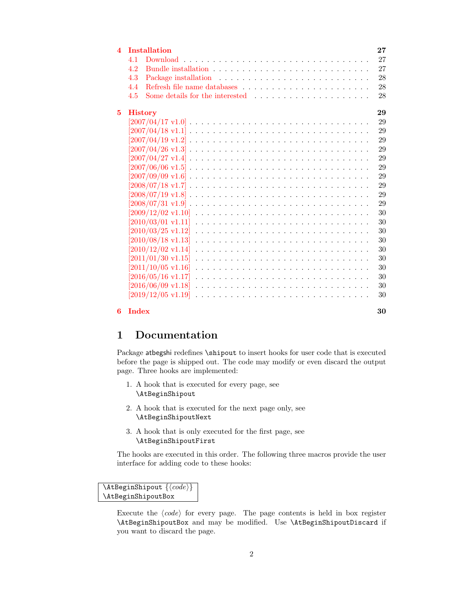| <b>Installation</b>                                                                         | 27                                                                                                                                                                                                                                                                                                                                                               |
|---------------------------------------------------------------------------------------------|------------------------------------------------------------------------------------------------------------------------------------------------------------------------------------------------------------------------------------------------------------------------------------------------------------------------------------------------------------------|
| 41                                                                                          | 27                                                                                                                                                                                                                                                                                                                                                               |
| 42                                                                                          | 27                                                                                                                                                                                                                                                                                                                                                               |
| 4.3                                                                                         | 28                                                                                                                                                                                                                                                                                                                                                               |
| 4.4                                                                                         | 28                                                                                                                                                                                                                                                                                                                                                               |
| Some details for the interested $\ldots$ , $\ldots$ , $\ldots$ , $\ldots$ , $\ldots$<br>4.5 | 28                                                                                                                                                                                                                                                                                                                                                               |
| <b>History</b>                                                                              | 29                                                                                                                                                                                                                                                                                                                                                               |
|                                                                                             | 29                                                                                                                                                                                                                                                                                                                                                               |
|                                                                                             | 29                                                                                                                                                                                                                                                                                                                                                               |
|                                                                                             | 29                                                                                                                                                                                                                                                                                                                                                               |
|                                                                                             | 29                                                                                                                                                                                                                                                                                                                                                               |
|                                                                                             | 29                                                                                                                                                                                                                                                                                                                                                               |
|                                                                                             | 29                                                                                                                                                                                                                                                                                                                                                               |
|                                                                                             | 29                                                                                                                                                                                                                                                                                                                                                               |
|                                                                                             | 29                                                                                                                                                                                                                                                                                                                                                               |
|                                                                                             | 29                                                                                                                                                                                                                                                                                                                                                               |
|                                                                                             | 29                                                                                                                                                                                                                                                                                                                                                               |
|                                                                                             | 30                                                                                                                                                                                                                                                                                                                                                               |
|                                                                                             | 30                                                                                                                                                                                                                                                                                                                                                               |
|                                                                                             | 30                                                                                                                                                                                                                                                                                                                                                               |
|                                                                                             | 30                                                                                                                                                                                                                                                                                                                                                               |
|                                                                                             | 30                                                                                                                                                                                                                                                                                                                                                               |
|                                                                                             | 30                                                                                                                                                                                                                                                                                                                                                               |
|                                                                                             | 30                                                                                                                                                                                                                                                                                                                                                               |
|                                                                                             | 30                                                                                                                                                                                                                                                                                                                                                               |
|                                                                                             | 30                                                                                                                                                                                                                                                                                                                                                               |
|                                                                                             | 30                                                                                                                                                                                                                                                                                                                                                               |
|                                                                                             |                                                                                                                                                                                                                                                                                                                                                                  |
|                                                                                             | $[2007/04/27 \text{ v}1.4] \ldots \ldots \ldots \ldots \ldots \ldots \ldots \ldots \ldots \ldots \ldots \ldots$<br>$[2010/03/01 \text{ v}1.11]$<br>$[2011/10/05 \text{ v}1.16]$<br>$[2016/05/16 \; \mathrm{v}1.17]$<br>$[2016/06/09 \text{ v}1.18] \ldots \ldots \ldots \ldots \ldots \ldots \ldots \ldots \ldots \ldots \ldots$<br>$[2019/12/05 \text{ v}1.19]$ |

#### $\frac{6 \text{ Index}}{30}$

# <span id="page-1-0"></span>1 Documentation

Package atbegshi redefines \shipout to insert hooks for user code that is executed before the page is shipped out. The code may modify or even discard the output page. Three hooks are implemented:

- 1. A hook that is executed for every page, see \AtBeginShipout
- 2. A hook that is executed for the next page only, see \AtBeginShipoutNext
- 3. A hook that is only executed for the first page, see \AtBeginShipoutFirst

The hooks are executed in this order. The following three macros provide the user interface for adding code to these hooks:

## <span id="page-1-1"></span> $\{AtBeginShipout \ {\langle code \rangle\}$ \AtBeginShipoutBox

Execute the  $\langle code \rangle$  for every page. The page contents is held in box register \AtBeginShipoutBox and may be modified. Use \AtBeginShipoutDiscard if you want to discard the page.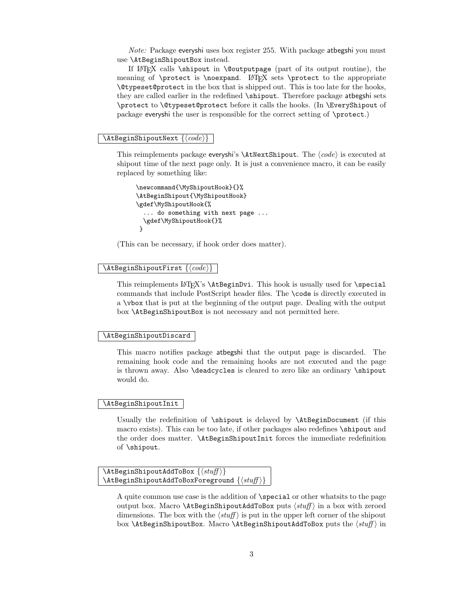Note: Package everyshi uses box register 255. With package atbegshi you must use \AtBeginShipoutBox instead.

If LATEX calls \shipout in \@outputpage (part of its output routine), the meaning of  $\preceq$  is  $\n$  Let  $\#$  sets  $\preceq$  to the appropriate \@typeset@protect in the box that is shipped out. This is too late for the hooks, they are called earlier in the redefined \shipout. Therefore package atbegshi sets \protect to \@typeset@protect before it calls the hooks. (In \EveryShipout of package everyshi the user is responsible for the correct setting of \protect.)

#### <span id="page-2-4"></span> $\{AtBeginShipoutNext\}$

This reimplements package everyshi's  $\Lambda$ tNextShipout. The  $\langle code \rangle$  is executed at shipout time of the next page only. It is just a convenience macro, it can be easily replaced by something like:

```
\newcommand{\MyShipoutHook}{}%
\AtBeginShipout{\MyShipoutHook}
\gdef\MyShipoutHook{%
  ... do something with next page ...
  \gdef\MyShipoutHook{}%
}
```
(This can be necessary, if hook order does matter).

#### <span id="page-2-2"></span> $\{AtBeginShipoutFirst \}$

This reimplements LATEX's \AtBeginDvi. This hook is usually used for \special commands that include PostScript header files. The \code is directly executed in a \vbox that is put at the beginning of the output page. Dealing with the output box \AtBeginShipoutBox is not necessary and not permitted here.

#### <span id="page-2-1"></span>\AtBeginShipoutDiscard

This macro notifies package atbegshi that the output page is discarded. The remaining hook code and the remaining hooks are not executed and the page is thrown away. Also \deadcycles is cleared to zero like an ordinary \shipout would do.

#### <span id="page-2-3"></span>\AtBeginShipoutInit

Usually the redefinition of \shipout is delayed by \AtBeginDocument (if this macro exists). This can be too late, if other packages also redefines \shipout and the order does matter. \AtBeginShipoutInit forces the immediate redefinition of \shipout.

```
\{\text{AtBeginShipoutAddToBox }\{\text{stuff}\}\}\LambdatBeginShipoutAddToBoxForeground \{ \sqrt{sqrt} \}
```
A quite common use case is the addition of \special or other whatsits to the page output box. Macro  $\Lambda t$ BeginShipoutAddToBox puts  $\langle \textit{stuff} \rangle$  in a box with zeroed dimensions. The box with the  $\langle \text{stuff} \rangle$  is put in the upper left corner of the shipout box  $\Lambda$ tBeginShipoutBox. Macro  $\Lambda$ tBeginShipoutAddToBox puts the  $\langle$ stuff $\rangle$  in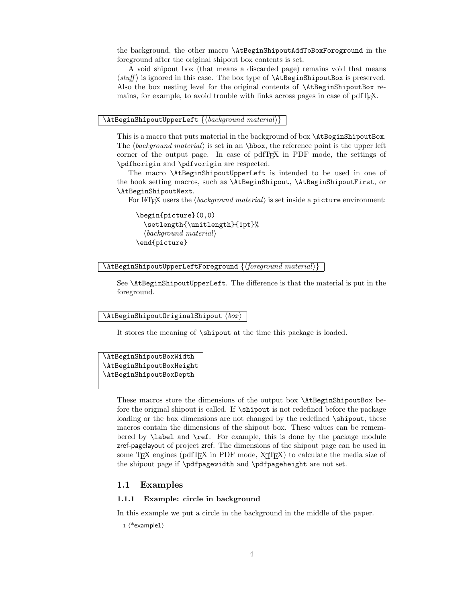the background, the other macro \AtBeginShipoutAddToBoxForeground in the foreground after the original shipout box contents is set.

A void shipout box (that means a discarded page) remains void that means  $\langle \textit{stuff} \rangle$  is ignored in this case. The box type of  $\Lambda$ tBeginShipoutBox is preserved. Also the box nesting level for the original contents of \AtBeginShipoutBox remains, for example, to avoid trouble with links across pages in case of pdfT<sub>E</sub>X.

#### <span id="page-3-4"></span> $\{\Delta t\$ eginShipoutUpperLeft  $\{\langle background \ material \rangle\}$

This is a macro that puts material in the background of box \AtBeginShipoutBox. The  $\langle background \ material \rangle$  is set in an \hbox, the reference point is the upper left corner of the output page. In case of pdfTEX in PDF mode, the settings of \pdfhorigin and \pdfvorigin are respected.

The macro \AtBeginShipoutUpperLeft is intended to be used in one of the hook setting macros, such as \AtBeginShipout, \AtBeginShipoutFirst, or \AtBeginShipoutNext.

For LAT<sub>E</sub>X users the  $\langle \text{background material} \rangle$  is set inside a picture environment:

```
\begin{picture}(0,0)
  \setlength{\unitlength}{1pt}%
  \langle background \ material \rangle\end{picture}
```
<span id="page-3-5"></span> $\Lambda \$ tBeginShipoutUpperLeftForeground  $\langle$  (foreground material)

See \AtBeginShipoutUpperLeft. The difference is that the material is put in the foreground.

#### <span id="page-3-3"></span> $\lambda$ AtBeginShipoutOriginalShipout  $\langle$   $box \rangle$

It stores the meaning of \shipout at the time this package is loaded.

<span id="page-3-2"></span>\AtBeginShipoutBoxWidth \AtBeginShipoutBoxHeight \AtBeginShipoutBoxDepth

> These macros store the dimensions of the output box \AtBeginShipoutBox before the original shipout is called. If \shipout is not redefined before the package loading or the box dimensions are not changed by the redefined  $\lambda$ shipout, these macros contain the dimensions of the shipout box. These values can be remembered by \label and \ref. For example, this is done by the package module zref-pagelayout of project zref. The dimensions of the shipout page can be used in some T<sub>EX</sub> engines (pdfT<sub>EX</sub> in PDF mode,  $X_{\text{c}}$ T<sub>EX</sub>) to calculate the media size of the shipout page if \pdfpagewidth and \pdfpageheight are not set.

## <span id="page-3-0"></span>1.1 Examples

#### <span id="page-3-1"></span>1.1.1 Example: circle in background

In this example we put a circle in the background in the middle of the paper.

 $1$   $\langle$ \*example1 $\rangle$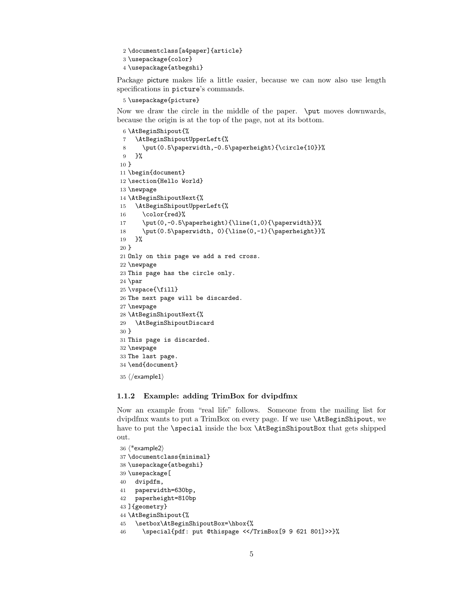```
2 \documentclass[a4paper]{article}
3 \usepackage{color}
4 \usepackage{atbegshi}
```
<span id="page-4-26"></span>Package picture makes life a little easier, because we can now also use length specifications in picture's commands.

```
5 \usepackage{picture}
```
Now we draw the circle in the middle of the paper. \put moves downwards, because the origin is at the top of the page, not at its bottom.

```
6 \AtBeginShipout{%
7 \AtBeginShipoutUpperLeft{%
8 \put(0.5\paperwidth,-0.5\paperheight){\circle{10}}%
9 }%
10 }
11 \begin{document}
12 \section{Hello World}
13 \newpage
14 \AtBeginShipoutNext{%
15 \AtBeginShipoutUpperLeft{%
16 \color{red}%
17 \put(0,-0.5\paperheight){\line(1,0){\paperwidth}}%
18 \put(0.5\paperwidth, 0){\line(0,-1){\paperheight}}%
19 }%
20 }
21 Only on this page we add a red cross.
22 \newpage
23 This page has the circle only.
24 \par
25 \vspace{\fill}
26 The next page will be discarded.
27 \newpage
28 \AtBeginShipoutNext{%
29 \AtBeginShipoutDiscard
30 }
31 This page is discarded.
32 \newpage
33 The last page.
34 \end{document}
```
<span id="page-4-22"></span><span id="page-4-21"></span><span id="page-4-20"></span><span id="page-4-19"></span><span id="page-4-15"></span><span id="page-4-14"></span><span id="page-4-6"></span><span id="page-4-4"></span> $35 \; \langle /$ example1 $\rangle$ 

## <span id="page-4-0"></span>1.1.2 Example: adding TrimBox for dvipdfmx

Now an example from "real life" follows. Someone from the mailing list for dvipdfmx wants to put a TrimBox on every page. If we use \AtBeginShipout, we have to put the **\special** inside the box **\AtBeginShipoutBox** that gets shipped out.

```
36 \langle*example2\rangle37 \documentclass{minimal}
38 \usepackage{atbegshi}
39 \usepackage[
40 dvipdfm,
41 paperwidth=630bp,
42 paperheight=810bp
43 ]{geometry}
44 \AtBeginShipout{%
45 \setbox\AtBeginShipoutBox=\hbox{%
```
<span id="page-4-24"></span><span id="page-4-3"></span><span id="page-4-2"></span>\special{pdf: put @thispage <</TrimBox[9 9 621 801]>>}%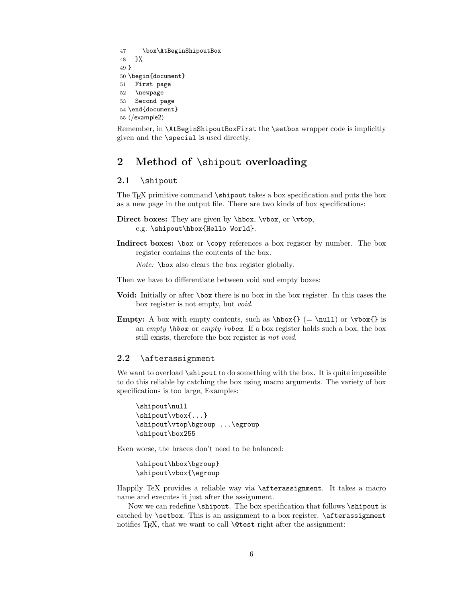```
47 \box\AtBeginShipoutBox
48 }%
49 }
50 \begin{document}
51 First page
52 \newpage
53 Second page
54 \end{document}
55 \langle/example2\rangle
```
<span id="page-5-6"></span><span id="page-5-5"></span>Remember, in \AtBeginShipoutBoxFirst the \setbox wrapper code is implicitly given and the \special is used directly.

# <span id="page-5-0"></span>2 Method of \shipout overloading

## <span id="page-5-1"></span>2.1 \shipout

The T<sub>EX</sub> primitive command \shipout takes a box specification and puts the box as a new page in the output file. There are two kinds of box specifications:

```
Direct boxes: They are given by \hbox, \vbox, or \vtop,
     e.g. \shipout\hbox{Hello World}.
```
Indirect boxes: \box or \copy references a box register by number. The box register contains the contents of the box.

Note: \box also clears the box register globally.

Then we have to differentiate between void and empty boxes:

- Void: Initially or after \box there is no box in the box register. In this cases the box register is not empty, but void.
- **Empty:** A box with empty contents, such as  $\hbar \leq \nu 1$  or  $\vbar \leq 1$  is an empty  $\hbar$  or empty  $\hbar$  or  $\hbar$ . If a box register holds such a box, the box still exists, therefore the box register is not void.

## <span id="page-5-2"></span>2.2 \afterassignment

We want to overload  $\lambda$ shipout to do something with the box. It is quite impossible to do this reliable by catching the box using macro arguments. The variety of box specifications is too large, Examples:

```
\shipout\null
\shipout\vbox{...}
\shipout\vtop\bgroup ...\egroup
\shipout\box255
```
Even worse, the braces don't need to be balanced:

```
\shipout\hbox\bgroup}
\shipout\vbox{\egroup
```
Happily TeX provides a reliable way via \afterassignment. It takes a macro name and executes it just after the assignment.

Now we can redefine **\shipout**. The box specification that follows **\shipout** is catched by **\setbox**. This is an assignment to a box register. **\afterassignment** notifies T<sub>E</sub>X, that we want to call **\@test** right after the assignment: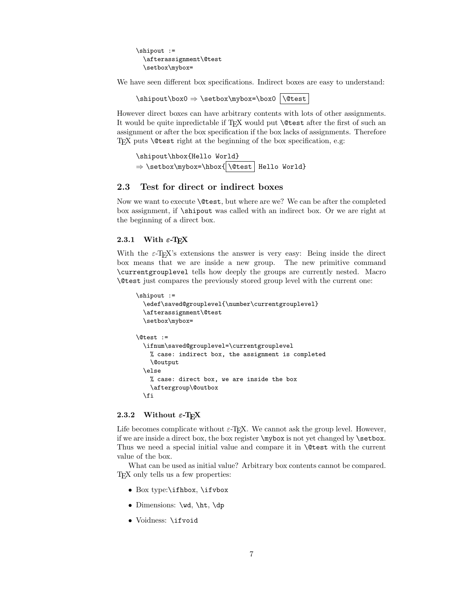\shipout := \afterassignment\@test \setbox\mybox=

We have seen different box specifications. Indirect boxes are easy to understand:

 $\binom{\bsc{0} \setminus \bsc{0}}{\bsc{0}}$ 

However direct boxes can have arbitrary contents with lots of other assignments. It would be quite inpredictable if TEX would put \@test after the first of such an assignment or after the box specification if the box lacks of assignments. Therefore T<sub>E</sub>X puts **\@test** right at the beginning of the box specification, e.g:

\shipout\hbox{Hello World}  $\Rightarrow$  \setbox\mybox=\hbox{|\@test| Hello World}

## <span id="page-6-0"></span>2.3 Test for direct or indirect boxes

Now we want to execute \@test, but where are we? We can be after the completed box assignment, if \shipout was called with an indirect box. Or we are right at the beginning of a direct box.

#### <span id="page-6-1"></span>2.3.1 With  $\varepsilon$ -T<sub>E</sub>X

With the  $\varepsilon$ -T<sub>E</sub>X's extensions the answer is very easy: Being inside the direct box means that we are inside a new group. The new primitive command \currentgrouplevel tells how deeply the groups are currently nested. Macro \@test just compares the previously stored group level with the current one:

```
\shipout :=
 \edef\saved@grouplevel{\number\currentgrouplevel}
 \afterassignment\@test
 \setbox\mybox=
\@test :=
 \ifnum\saved@grouplevel=\currentgrouplevel
   % case: indirect box, the assignment is completed
   \@output
 \else
   % case: direct box, we are inside the box
   \aftergroup\@outbox
 \eta
```
## <span id="page-6-2"></span>2.3.2 Without  $\varepsilon$ -T<sub>E</sub>X

Life becomes complicate without  $\varepsilon$ -T<sub>E</sub>X. We cannot ask the group level. However, if we are inside a direct box, the box register \mybox is not yet changed by \setbox. Thus we need a special initial value and compare it in **\@test** with the current value of the box.

What can be used as initial value? Arbitrary box contents cannot be compared. TEX only tells us a few properties:

- Box type:\ifhbox, \ifvbox
- Dimensions: \wd, \ht, \dp
- Voidness: \ifvoid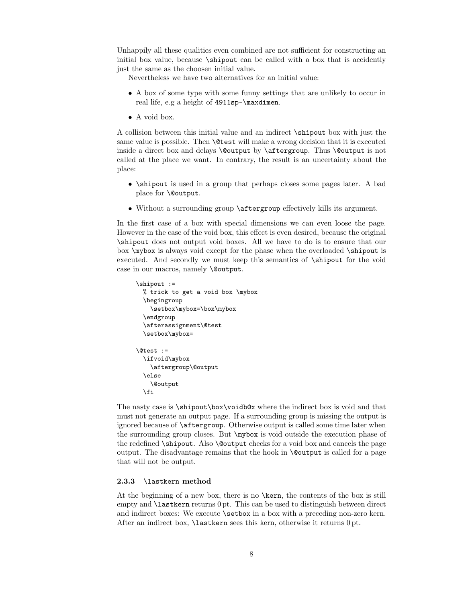Unhappily all these qualities even combined are not sufficient for constructing an initial box value, because  $\lambda$ shipout can be called with a box that is accidently just the same as the choosen initial value.

Nevertheless we have two alternatives for an initial value:

- A box of some type with some funny settings that are unlikely to occur in real life, e.g a height of 4911sp-\maxdimen.
- A void box.

A collision between this initial value and an indirect \shipout box with just the same value is possible. Then **\@test** will make a wrong decision that it is executed inside a direct box and delays \@output by \aftergroup. Thus \@output is not called at the place we want. In contrary, the result is an uncertainty about the place:

- \shipout is used in a group that perhaps closes some pages later. A bad place for \@output.
- Without a surrounding group \aftergroup effectively kills its argument.

In the first case of a box with special dimensions we can even loose the page. However in the case of the void box, this effect is even desired, because the original \shipout does not output void boxes. All we have to do is to ensure that our box \mybox is always void except for the phase when the overloaded \shipout is executed. And secondly we must keep this semantics of \shipout for the void case in our macros, namely \@output.

```
\shipout :=
  % trick to get a void box \mybox
  \begingroup
    \setbox\mybox=\box\mybox
  \endgroup
  \afterassignment\@test
  \setbox\mybox=
\@test :=
  \ifvoid\mybox
    \aftergroup\@output
  \else
    \@output
  \fi
```
The nasty case is \shipout\box\voidb@x where the indirect box is void and that must not generate an output page. If a surrounding group is missing the output is ignored because of \aftergroup. Otherwise output is called some time later when the surrounding group closes. But \mybox is void outside the execution phase of the redefined **\shipout.** Also **\@output** checks for a void box and cancels the page output. The disadvantage remains that the hook in \@output is called for a page that will not be output.

#### <span id="page-7-0"></span>2.3.3 \lastkern method

At the beginning of a new box, there is no \kern, the contents of the box is still empty and \lastkern returns 0 pt. This can be used to distinguish between direct and indirect boxes: We execute \setbox in a box with a preceding non-zero kern. After an indirect box, \lastkern sees this kern, otherwise it returns 0 pt.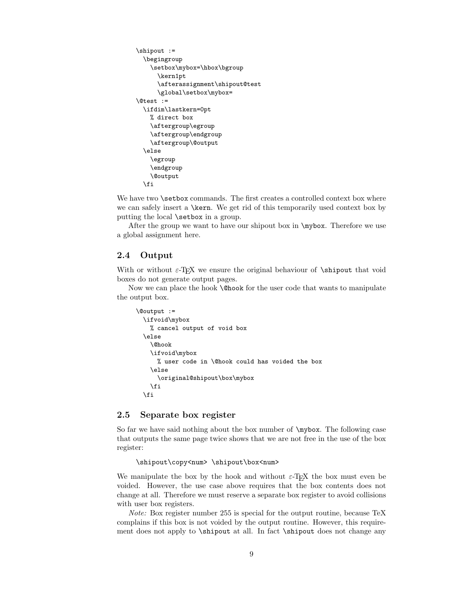```
\shipout :=
  \begingroup
    \setbox\mybox=\hbox\bgroup
      \kern1pt
      \afterassignment\shipout@test
      \global\setbox\mybox=
\@test :=
  \ifdim\lastkern=0pt
   % direct box
    \aftergroup\egroup
    \aftergroup\endgroup
    \aftergroup\@output
  \else
    \egroup
    \endgroup
    \@output
  \fi
```
We have two **\setbox** commands. The first creates a controlled context box where we can safely insert a \kern. We get rid of this temporarily used context box by putting the local **\setbox** in a group.

After the group we want to have our shipout box in \mybox. Therefore we use a global assignment here.

## <span id="page-8-0"></span>2.4 Output

With or without  $\varepsilon$ -T<sub>E</sub>X we ensure the original behaviour of **\shipout** that void boxes do not generate output pages.

Now we can place the hook \@hook for the user code that wants to manipulate the output box.

```
\@output :=
  \ifvoid\mybox
    % cancel output of void box
  \else
    \@hook
    \ifvoid\mybox
      % user code in \@hook could has voided the box
    \else
      \original@shipout\box\mybox
    \fi
  \fi
```
## <span id="page-8-1"></span>2.5 Separate box register

So far we have said nothing about the box number of  $\mu$ ybox. The following case that outputs the same page twice shows that we are not free in the use of the box register:

#### \shipout\copy<num> \shipout\box<num>

We manipulate the box by the hook and without  $\varepsilon$ -TEX the box must even be voided. However, the use case above requires that the box contents does not change at all. Therefore we must reserve a separate box register to avoid collisions with user box registers.

Note: Box register number 255 is special for the output routine, because TeX complains if this box is not voided by the output routine. However, this requirement does not apply to \shipout at all. In fact \shipout does not change any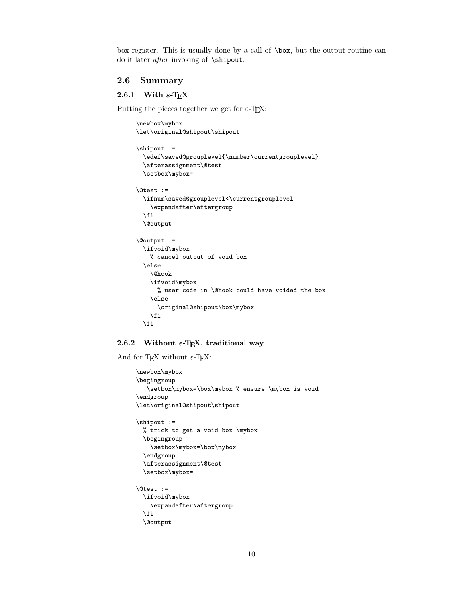box register. This is usually done by a call of \box, but the output routine can do it later *after* invoking of **\shipout**.

## <span id="page-9-0"></span>2.6 Summary

## <span id="page-9-1"></span>2.6.1 With  $\varepsilon$ -T<sub>E</sub>X

Putting the pieces together we get for  $\varepsilon$ -T<sub>E</sub>X:

```
\newbox\mybox
\let\original@shipout\shipout
\shipout :=
  \edef\saved@grouplevel{\number\currentgrouplevel}
  \afterassignment\@test
 \setbox\mybox=
\@test :=
  \ifnum\saved@grouplevel<\currentgrouplevel
    \expandafter\aftergroup
 \fi
 \@output
\@output :=
 \ifvoid\mybox
   % cancel output of void box
  \else
    \@hook
   \ifvoid\mybox
     % user code in \@hook could have voided the box
   \else
      \original@shipout\box\mybox
   \fi
  \fi
```
## <span id="page-9-2"></span>2.6.2 Without  $\varepsilon$ -T<sub>E</sub>X, traditional way

And for T<sub>E</sub>X without  $\varepsilon$ -T<sub>E</sub>X:

```
\newbox\mybox
\begingroup
  \setbox\mybox=\box\mybox % ensure \mybox is void
\endgroup
\let\original@shipout\shipout
\shipout :=
 % trick to get a void box \mybox
 \begingroup
   \setbox\mybox=\box\mybox
 \endgroup
 \afterassignment\@test
  \setbox\mybox=
\@test :=
  \ifvoid\mybox
   \expandafter\aftergroup
  \fi
  \@output
```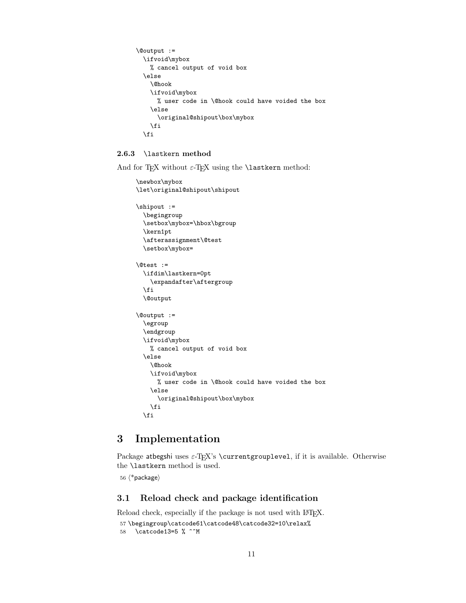```
\@output :=
  \ifvoid\mybox
   % cancel output of void box
  \else
    \@hook
    \ifvoid\mybox
      % user code in \@hook could have voided the box
    \else
      \original@shipout\box\mybox
    \chi\fi
```
## <span id="page-10-0"></span>2.6.3 \lastkern method

And for TEX without  $\varepsilon$ -TEX using the **\lastkern** method:

```
\newbox\mybox
\let\original@shipout\shipout
\shipout :=
 \begingroup
 \setbox\mybox=\hbox\bgroup
 \kern1pt
 \afterassignment\@test
  \setbox\mybox=
\@test :=
 \ifdim\lastkern=0pt
   \expandafter\aftergroup
  \fi
  \@output
\@output :=
  \egroup
  \endgroup
 \ifvoid\mybox
   % cancel output of void box
  \else
    \@hook
    \ifvoid\mybox
      % user code in \@hook could have voided the box
    \else
      \original@shipout\box\mybox
    \fi
 \fi
```
# <span id="page-10-1"></span>3 Implementation

Package atbegshi uses  $\varepsilon$ -TEX's \currentgrouplevel, if it is available. Otherwise the \lastkern method is used.

56  $\langle$ \*package $\rangle$ 

## <span id="page-10-2"></span>3.1 Reload check and package identification

<span id="page-10-4"></span><span id="page-10-3"></span>Reload check, especially if the package is not used with IATEX. 57 \begingroup\catcode61\catcode48\catcode32=10\relax% 58 \catcode13=5 % ^^M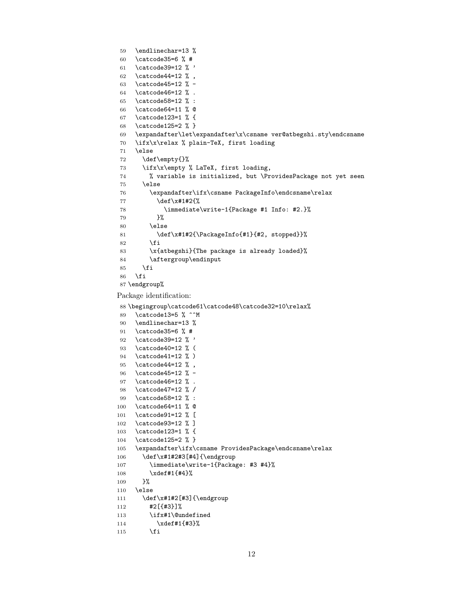```
59 \endlinechar=13 %
60 \catcode35=6 % #
61 \catcode39=12 % '
62 \catcode44=12 % ,
63 \catcode45=12 % -
64 \catcode46=12 % .
65 \catcode58=12 % :
66 \catcode64=11 % @
67 \catcode123=1 % {
68 \catcode125=2 % }
69 \expandafter\let\expandafter\x\csname ver@atbegshi.sty\endcsname
70 \ifx\x\relax % plain-TeX, first loading
71 \else
72 \def\empty{}%
73 \ifx\x\empty % LaTeX, first loading,
74 % variable is initialized, but \ProvidesPackage not yet seen
75 \else
76 \expandafter\ifx\csname PackageInfo\endcsname\relax
77 \def\x#1#2{%
78 \immediate\write-1{Package #1 Info: #2.}%
79 }%
80 \else
81 \def\x#1#2{\PackageInfo{#1}{#2, stopped}}%
82 \setminusfi
83 \x{atbegshi}{The package is already loaded}%
84 \aftergroup\endinput
85 \chifi
86 \fi
87 \endgroup%
88 \begingroup\catcode61\catcode48\catcode32=10\relax%
89 \catcode13=5 % ^^M
90 \endlinechar=13 %
91 \catcode35=6 % #
92 \catcode39=12 % '
```
<span id="page-11-40"></span><span id="page-11-39"></span><span id="page-11-38"></span><span id="page-11-37"></span><span id="page-11-35"></span><span id="page-11-28"></span><span id="page-11-1"></span>Package identification:

```
93 \catcode40=12 % (
94 \catcode41=12 % )
95 \catcode44=12 % ,
96 \catcode45=12 % -
97 \catcode46=12 % .
98 \catcode47=12 % /
99 \catcode58=12 % :
100 \catcode64=11 % @
101 \catcode91=12 % [
102 \catcode93=12 % ]
103 \catcode123=1 % {
104 \catcode125=2 % }
105 \expandafter\ifx\csname ProvidesPackage\endcsname\relax
106 \def\x#1#2#3[#4]{\endgroup
107 \immediate\write-1{Package: #3 #4}%
108 \xdef#1{#4}%
109 }%
110 \else
111 \def\x#1#2[#3]{\endgroup
112 #2[{#3}]%
113 \ifx#1\@undefined
114 \xdef#1{#3}%
```

```
115 \fi
```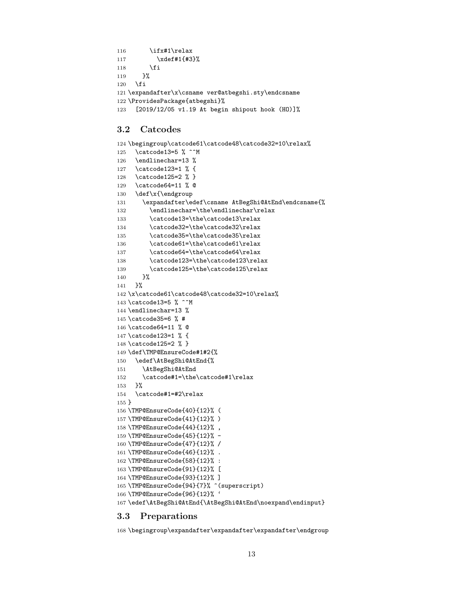```
116 \ifx#1\relax
117 \xdef#1{#3}%
118 \fi
119 }%
120 \foralli
121 \expandafter\x\csname ver@atbegshi.sty\endcsname
122 \ProvidesPackage{atbegshi}%
123 [2019/12/05 v1.19 At begin shipout hook (HO)]%
```
## <span id="page-12-31"></span><span id="page-12-25"></span><span id="page-12-0"></span>3.2 Catcodes

```
124 \begingroup\catcode61\catcode48\catcode32=10\relax%
125 \catcode13=5 % ^^M
126 \endlinechar=13 %
127 \catcode123=1 % {
128 \catcode125=2 % }
129 \catcode64=11 % @
130 \def\x{\endgroup
131 \expandafter\edef\csname AtBegShi@AtEnd\endcsname{%
132 \endlinechar=\the\endlinechar\relax
133 \catcode13=\the\catcode13\relax
134 \catcode32=\the\catcode32\relax
135 \catcode35=\the\catcode35\relax
136 \catcode61=\the\catcode61\relax
137 \catcode64=\the\catcode64\relax
138 \catcode123=\the\catcode123\relax
139 \catcode125=\the\catcode125\relax
140 }%
141 }%
142 \x\catcode61\catcode48\catcode32=10\relax%
143 \catcode13=5 % ^^M
144 \endlinechar=13 %
145 \catcode35=6 % #
146 \catcode64=11 % @
147 \catcode123=1 % {
148 \catcode125=2 % }
149 \def\TMP@EnsureCode#1#2{%
150 \edef\AtBegShi@AtEnd{%
151 \AtBegShi@AtEnd
152 \catcode#1=\the\catcode#1\relax
153 }%
154 \catcode#1=#2\relax
155 }
156 \TMP@EnsureCode{40}{12}% (
157 \TMP@EnsureCode{41}{12}% )
158 \TMP@EnsureCode{44}{12}% ,
159 \TMP@EnsureCode{45}{12}% -
160 \TMP@EnsureCode{47}{12}% /
161 \TMP@EnsureCode{46}{12}% .
162 \TMP@EnsureCode{58}{12}% :
163 \TMP@EnsureCode{91}{12}% [
164 \TMP@EnsureCode{93}{12}% ]
165 \TMP@EnsureCode{94}{7}% ^(superscript)
166 \TMP@EnsureCode{96}{12}% '
167 \edef\AtBegShi@AtEnd{\AtBegShi@AtEnd\noexpand\endinput}
```
## <span id="page-12-43"></span><span id="page-12-42"></span><span id="page-12-41"></span><span id="page-12-40"></span><span id="page-12-39"></span><span id="page-12-38"></span><span id="page-12-37"></span><span id="page-12-36"></span><span id="page-12-35"></span><span id="page-12-34"></span><span id="page-12-33"></span><span id="page-12-32"></span><span id="page-12-24"></span><span id="page-12-23"></span><span id="page-12-22"></span><span id="page-12-21"></span><span id="page-12-4"></span><span id="page-12-3"></span><span id="page-12-2"></span><span id="page-12-1"></span>3.3 Preparations

\begingroup\expandafter\expandafter\expandafter\endgroup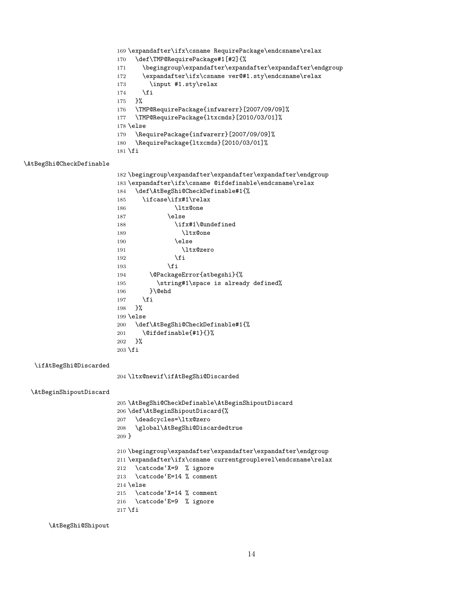```
169 \expandafter\ifx\csname RequirePackage\endcsname\relax
                         170 \def\TMP@RequirePackage#1[#2]{%
                         171 \begingroup\expandafter\expandafter\expandafter\endgroup
                         172 \expandafter\ifx\csname ver@#1.sty\endcsname\relax
                         173 \input #1.sty\relax
                         174 \fi
                         175 }%
                         176 \TMP@RequirePackage{infwarerr}[2007/09/09]%
                         177 \TMP@RequirePackage{ltxcmds}[2010/03/01]%
                         178 \else
                         179 \RequirePackage{infwarerr}[2007/09/09]%
                         180 \RequirePackage{ltxcmds}[2010/03/01]%
                         181 \fi
\AtBegShi@CheckDefinable
                         182 \begingroup\expandafter\expandafter\expandafter\endgroup
                         183 \expandafter\ifx\csname @ifdefinable\endcsname\relax
                         184 \def\AtBegShi@CheckDefinable#1{%
                         185 \ifcase\ifx#1\relax
                         186 \ltx@one
                         187 \else
                         188 \ifx#1\@undefined
                         189 \ltx@one
                         190 \else
                         191 \ltx@zero
                         192 \quad \text{If}193 \overline{\qquad} \fi
                         194 \@PackageError{atbegshi}{%
                         195 \tring#1\space is already defined%
                         196 }\@ehd
                         197 \fi
                         198 }%
                         199 \else
                         200 \def\AtBegShi@CheckDefinable#1{%
                         201 \@ifdefinable{#1}{}%
                         202 }%
                         203 \fi
  \ifAtBegShi@Discarded
                         204 \ltx@newif\ifAtBegShi@Discarded
  \AtBeginShipoutDiscard
                         205 \AtBegShi@CheckDefinable\AtBeginShipoutDiscard
                         206 \def\AtBeginShipoutDiscard{%
                         207 \deadcycles=\ltx@zero
                         208 \global\AtBegShi@Discardedtrue
                         209 }
                         \label{thm:main} {\tt \begin{array}{c} 210 \begin{array}{c} \begin{array}{c} \end{array} \end{array}}211 \expandafter\ifx\csname currentgrouplevel\endcsname\relax
                         212 \catcode'X=9 % ignore
                         213 \catcode'E=14 % comment
                         214 \else
                         215 \catcode'X=14 % comment
                         216 \catcode'E=9 % ignore
                         217 \fi
```
<span id="page-13-21"></span><span id="page-13-18"></span><span id="page-13-17"></span><span id="page-13-16"></span><span id="page-13-12"></span><span id="page-13-11"></span><span id="page-13-10"></span><span id="page-13-9"></span><span id="page-13-8"></span><span id="page-13-7"></span><span id="page-13-6"></span><span id="page-13-4"></span><span id="page-13-2"></span><span id="page-13-1"></span>\AtBegShi@Shipout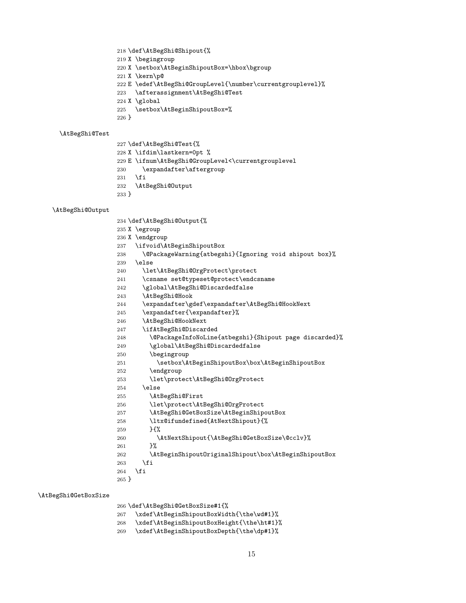- \def\AtBegShi@Shipout{%
- X \begingroup
- <span id="page-14-5"></span>X \setbox\AtBeginShipoutBox=\hbox\bgroup
- <span id="page-14-32"></span>X \kern\p@
- <span id="page-14-18"></span>E \edef\AtBegShi@GroupLevel{\number\currentgrouplevel}%
- <span id="page-14-3"></span>\afterassignment\AtBegShi@Test
- X \global
- <span id="page-14-6"></span>\setbox\AtBeginShipoutBox=%
- }

#### <span id="page-14-28"></span>\AtBegShi@Test

- \def\AtBegShi@Test{%
- <span id="page-14-31"></span>X \ifdim\lastkern=0pt %
- <span id="page-14-19"></span>229 E \ifnum\AtBegShi@GroupLevel<\currentgrouplevel
- <span id="page-14-4"></span>\expandafter\aftergroup
- \fi
- <span id="page-14-26"></span>\AtBegShi@Output
- }

#### <span id="page-14-27"></span>\AtBegShi@Output

- \def\AtBegShi@Output{%
- X \egroup
- X \endgroup
- <span id="page-14-7"></span>\ifvoid\AtBeginShipoutBox
- <span id="page-14-1"></span>\@PackageWarning{atbegshi}{Ignoring void shipout box}%
- \else
- <span id="page-14-23"></span>\let\AtBegShi@OrgProtect\protect
- <span id="page-14-29"></span>\csname set@typeset@protect\endcsname
- <span id="page-14-14"></span>\global\AtBegShi@Discardedfalse
- <span id="page-14-20"></span>\AtBegShi@Hook
- <span id="page-14-21"></span>\expandafter\gdef\expandafter\AtBegShi@HookNext
- \expandafter{\expandafter}%
- <span id="page-14-22"></span>\AtBegShi@HookNext
- <span id="page-14-30"></span>\ifAtBegShi@Discarded
- <span id="page-14-0"></span>\@PackageInfoNoLine{atbegshi}{Shipout page discarded}%
- <span id="page-14-15"></span>\global\AtBegShi@Discardedfalse
- \begingroup
- <span id="page-14-8"></span>\setbox\AtBeginShipoutBox\box\AtBeginShipoutBox
- \endgroup
- <span id="page-14-24"></span>\let\protect\AtBegShi@OrgProtect
- \else
- <span id="page-14-16"></span>\AtBegShi@First
- <span id="page-14-25"></span>\let\protect\AtBegShi@OrgProtect
- <span id="page-14-9"></span>\AtBegShi@GetBoxSize\AtBeginShipoutBox
- <span id="page-14-33"></span> \ltx@ifundefined{AtNextShipout}{% }{%
- <span id="page-14-2"></span>\AtNextShipout{\AtBegShi@GetBoxSize\@cclv}%
- }%
- <span id="page-14-10"></span>\AtBeginShipoutOriginalShipout\box\AtBeginShipoutBox
- \fi
- \fi
- }

#### <span id="page-14-17"></span>\AtBegShi@GetBoxSize

\def\AtBegShi@GetBoxSize#1{%

- <span id="page-14-13"></span>\xdef\AtBeginShipoutBoxWidth{\the\wd#1}%
- <span id="page-14-12"></span>\xdef\AtBeginShipoutBoxHeight{\the\ht#1}%
- <span id="page-14-11"></span>\xdef\AtBeginShipoutBoxDepth{\the\dp#1}%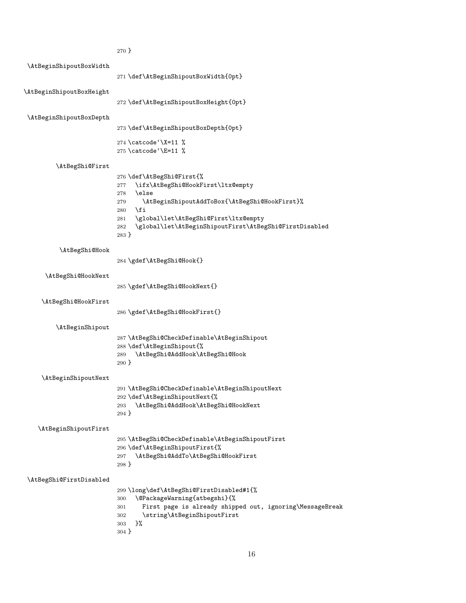<span id="page-15-28"></span><span id="page-15-27"></span><span id="page-15-26"></span><span id="page-15-25"></span><span id="page-15-24"></span><span id="page-15-23"></span><span id="page-15-22"></span><span id="page-15-21"></span><span id="page-15-20"></span><span id="page-15-19"></span><span id="page-15-18"></span><span id="page-15-17"></span><span id="page-15-16"></span><span id="page-15-15"></span><span id="page-15-14"></span><span id="page-15-13"></span><span id="page-15-12"></span><span id="page-15-11"></span><span id="page-15-10"></span><span id="page-15-9"></span><span id="page-15-8"></span><span id="page-15-7"></span><span id="page-15-6"></span><span id="page-15-5"></span><span id="page-15-4"></span><span id="page-15-3"></span><span id="page-15-2"></span><span id="page-15-1"></span><span id="page-15-0"></span>

|                          | $270 \}$                                                                                              |
|--------------------------|-------------------------------------------------------------------------------------------------------|
| \AtBeginShipoutBoxWidth  |                                                                                                       |
|                          | 271 \def\AtBeginShipoutBoxWidth{0pt}                                                                  |
| \AtBeginShipoutBoxHeight |                                                                                                       |
|                          | 272 \def\AtBeginShipoutBoxHeight{0pt}                                                                 |
|                          |                                                                                                       |
| \AtBeginShipoutBoxDepth  |                                                                                                       |
|                          | 273 \def\AtBeginShipoutBoxDepth{0pt}                                                                  |
|                          | 274 \catcode '\X=11 %                                                                                 |
|                          | 275 \catcode '\E=11 %                                                                                 |
| \AtBegShi@First          |                                                                                                       |
|                          | 276 \def\AtBegShi@First{%                                                                             |
|                          | \ifx\AtBegShi@HookFirst\ltx@empty<br>277                                                              |
|                          | \else<br>278<br>\AtBeginShipoutAddToBox{\AtBegShi@HookFirst}%<br>279                                  |
|                          | \fi<br>280                                                                                            |
|                          | \global\let\AtBegShi@First\ltx@empty<br>281                                                           |
|                          | \global\let\AtBeginShipoutFirst\AtBegShi@FirstDisabled<br>282<br>$283$ }                              |
|                          |                                                                                                       |
| \AtBegShi@Hook           |                                                                                                       |
|                          | 284 \gdef\AtBegShi@Hook{}                                                                             |
| \AtBegShi@HookNext       |                                                                                                       |
|                          | 285 \gdef\AtBegShi@HookNext{}                                                                         |
| \AtBegShi@HookFirst      |                                                                                                       |
|                          | 286 \gdef\AtBegShi@HookFirst{}                                                                        |
|                          |                                                                                                       |
| \AtBeginShipout          | 287 \AtBegShi@CheckDefinable\AtBeginShipout                                                           |
|                          | 288 \def\AtBeginShipout{%                                                                             |
|                          | \AtBegShi@AddHook\AtBegShi@Hook<br>289                                                                |
|                          | $290$ }                                                                                               |
| \AtBeginShipoutNext      |                                                                                                       |
|                          | 291 \AtBegShi@CheckDefinable\AtBeginShipoutNext                                                       |
|                          | 292 \def\AtBeginShipoutNext{%<br>\AtBegShi@AddHook\AtBegShi@HookNext<br>293                           |
|                          | $294$ }                                                                                               |
|                          |                                                                                                       |
| \AtBeginShipoutFirst     | 295 \AtBegShi@CheckDefinable\AtBeginShipoutFirst                                                      |
|                          | 296 \def\AtBeginShipoutFirst{%                                                                        |
|                          | \AtBegShi@AddTo\AtBegShi@HookFirst<br>297                                                             |
|                          | $298$ }                                                                                               |
| \AtBegShi@FirstDisabled  |                                                                                                       |
|                          | 299\long\def\AtBegShi@FirstDisabled#1{%                                                               |
|                          | \@PackageWarning{atbegshi}{%<br>300                                                                   |
|                          | First page is already shipped out, ignoring\MessageBreak<br>301<br>\string\AtBeginShipoutFirst<br>302 |
|                          | }%<br>303                                                                                             |
|                          | 304 }                                                                                                 |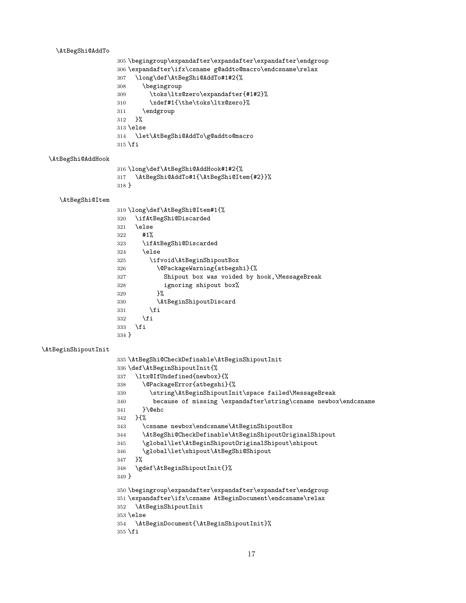#### <span id="page-16-12"></span>\AtBegShi@AddTo

```
305 \begingroup\expandafter\expandafter\expandafter\endgroup
306 \expandafter\ifx\csname g@addto@macro\endcsname\relax
307 \long\def\AtBegShi@AddTo#1#2{%
308 \begingroup
309 \toks\ltx@zero\expandafter{#1#2}%
310 \xdef#1{\the\toks\ltx@zero}%
311 \endgroup
312 }%
313 \else
314 \let\AtBegShi@AddTo\g@addto@macro
315 \fi
```
#### <span id="page-16-11"></span>\AtBegShi@AddHook

<span id="page-16-20"></span>\long\def\AtBegShi@AddHook#1#2{%

<span id="page-16-13"></span> \AtBegShi@AddTo#1{\AtBegShi@Item{#2}}% }

#### <span id="page-16-15"></span>\AtBegShi@Item

<span id="page-16-27"></span><span id="page-16-23"></span><span id="page-16-22"></span><span id="page-16-4"></span><span id="page-16-1"></span>

|       | 319 \long\def\AtBegShi@Item#1{%              |
|-------|----------------------------------------------|
| 320   | \ifAtBegShi@Discarded                        |
| 321   | \else                                        |
| 322   | #1%                                          |
| 323   | \ifAtBegShi@Discarded                        |
| 324   | \else                                        |
| 325   | \ifvoid\AtBeginShipoutBox                    |
| 326   | \@PackageWarning{atbegshi}{%                 |
| 327   | Shipout box was voided by hook, MessageBreak |
| 328   | ignoring shipout box%                        |
| 329   | ጉ%                                           |
| 330   | \AtBeginShipoutDiscard                       |
| 331   | \fi                                          |
| 332   | \fi                                          |
| 333   | \fi                                          |
| 334 } |                                              |

#### <span id="page-16-7"></span>\AtBeginShipoutInit

```
335 \AtBegShi@CheckDefinable\AtBeginShipoutInit
336 \def\AtBeginShipoutInit{%
337 \ltx@IfUndefined{newbox}{%
338 \@PackageError{atbegshi}{%
339 \string\AtBeginShipoutInit\space failed\MessageBreak
340 because of missing \expandafter\string\csname newbox\endcsname
341 }\@ehc
342 }{%
343 \csname newbox\endcsname\AtBeginShipoutBox
344 \AtBegShi@CheckDefinable\AtBeginShipoutOriginalShipout
345 \global\let\AtBeginShipoutOriginalShipout\shipout
346 \global\let\shipout\AtBegShi@Shipout
347 }%
348 \gdef\AtBeginShipoutInit{}%
349 }
350 \begingroup\expandafter\expandafter\expandafter\endgroup
351 \expandafter\ifx\csname AtBeginDocument\endcsname\relax
352 \AtBeginShipoutInit
353 \else
354 \AtBeginDocument{\AtBeginShipoutInit}%
355 \fi
```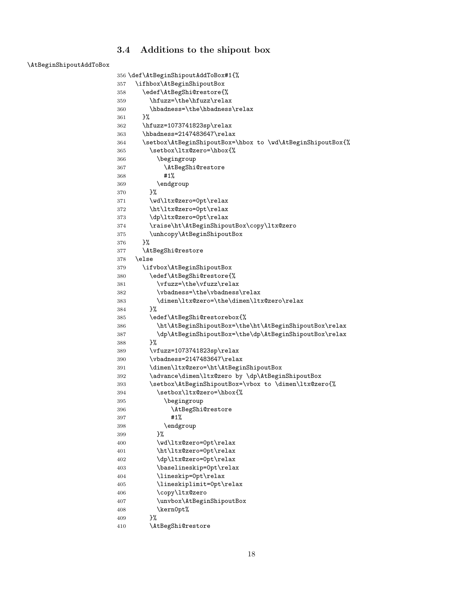## <span id="page-17-0"></span>3.4 Additions to the shipout box

<span id="page-17-2"></span>\AtBeginShipoutAddToBox

```
356 \def\AtBeginShipoutAddToBox#1{%
357 \ifhbox\AtBeginShipoutBox
358 \edef\AtBegShi@restore{%
359 \hfuzz=\the\hfuzz\relax
360 \hbadness=\the\hbadness\relax
361 }%
362 \hfuzz=1073741823sp\relax
363 \hbadness=2147483647\relax
364 \setbox\AtBeginShipoutBox=\hbox to \wd\AtBeginShipoutBox{%
365 \setbox\ltx@zero=\hbox{%
366 \begingroup
367 \AtBegShi@restore
368 #1%
369 \endgroup
370 }%
371 \wd\ltx@zero=0pt\relax
372 \ht\ltx@zero=0pt\relax
373 \dp\ltx@zero=0pt\relax
374 \raise\ht\AtBeginShipoutBox\copy\ltx@zero
375 \unhcopy\AtBeginShipoutBox
376 }%
377 \AtBegShi@restore
378 \else
379 \ifvbox\AtBeginShipoutBox
380 \edef\AtBegShi@restore{%
381 \forall \vfuzz=\the\vfuzz\relax
382 \vbadness=\the\vbadness\relax
383 \dimen\ltx@zero=\the\dimen\ltx@zero\relax
384 }%
385 \edef\AtBegShi@restorebox{%
386 \ht\AtBeginShipoutBox=\the\ht\AtBeginShipoutBox\relax
387 \dp\AtBeginShipoutBox=\the\dp\AtBeginShipoutBox\relax
388 }%
389 \vfuzz=1073741823sp\relax
390 \vbadness=2147483647\relax
391 \dimen\ltx@zero=\ht\AtBeginShipoutBox
392 \advance\dimen\ltx@zero by \dp\AtBeginShipoutBox
393 \setbox\AtBeginShipoutBox=\vbox to \dimen\ltx@zero{%
394 \setbox\ltx@zero=\hbox{%
395 \begingroup
396 \AtBegShi@restore
397 #1%
398 \endgroup
399 }%
400    \wd\ltx@zero=0pt\relax
401 \ht\ltx@zero=0pt\relax
402 \dp\ltx@zero=0pt\relax
403 \baselineskip=0pt\relax
404 \lineskip=0pt\relax
405 \lineskiplimit=0pt\relax
406 \copy\ltx@zero
407 \unvbox\AtBeginShipoutBox
408 \kern0pt%
409 }%
410 \AtBegShi@restore
```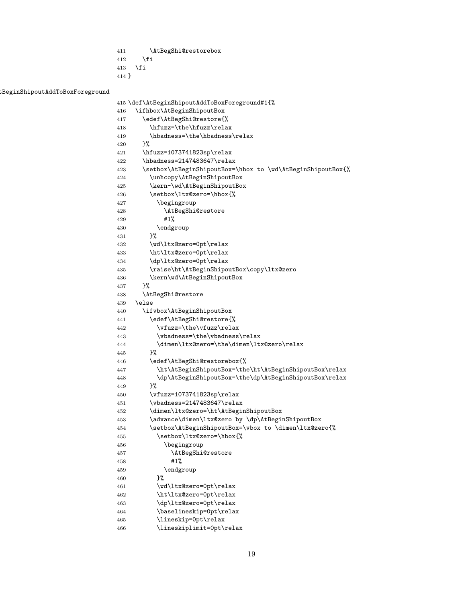- <span id="page-18-18"></span>\AtBegShi@restorebox
- \fi
- \fi
- }

<span id="page-18-1"></span>:BeginShipoutAddToBoxForeground

```
415 \def\AtBeginShipoutAddToBoxForeground#1{%
416 \ifhbox\AtBeginShipoutBox
417 \edef\AtBegShi@restore{%
418 \hfuzz=\the\hfuzz\relax
419 \hbadness=\the\hbadness\relax
420 \frac{1}{6}421 \hfuzz=1073741823sp\relax
422 \hbadness=2147483647\relax
423 \setbox\AtBeginShipoutBox=\hbox to \wd\AtBeginShipoutBox{%
424 \unhcopy\AtBeginShipoutBox
425 \kern-\wd\AtBeginShipoutBox
426 \setbox\ltx@zero=\hbox{%
427 \begingroup
428 \AtBegShi@restore
429 #1%
430 \endgroup
431 }%
432 \wd\ltx@zero=0pt\relax
433 \ht\ltx@zero=0pt\relax
434 \dp\ltx@zero=0pt\relax
435 \raise\ht\AtBeginShipoutBox\copy\ltx@zero
436 \kern\wd\AtBeginShipoutBox
437 }%
438 \AtBegShi@restore
439 \else
440 \ifvbox\AtBeginShipoutBox
441 \edef\AtBegShi@restore{%
442 \forall \vfuzz=\the\vfuzz\relax
443 \vbadness=\the\vbadness\relax
444 \dimen\ltx@zero=\the\dimen\ltx@zero\relax
445 }%
446 \edef\AtBegShi@restorebox{%
447 \ht\AtBeginShipoutBox=\the\ht\AtBeginShipoutBox\relax
448 \dp\AtBeginShipoutBox=\the\dp\AtBeginShipoutBox\relax
449 }%
450 \vfuzz=1073741823sp\relax
451 \vbadness=2147483647\relax
452 \dimen\ltx@zero=\ht\AtBeginShipoutBox
453 \advance\dimen\ltx@zero by \dp\AtBeginShipoutBox
454 \setbox\AtBeginShipoutBox=\vbox to \dimen\ltx@zero{%
455 \setbox\ltx@zero=\hbox{%
456 \begingroup
457 \AtBegShi@restore
458 #1%
459 \endgroup
460 }%
461 \wd\ltx@zero=0pt\relax
462 \ht\ltx@zero=0pt\relax
463 \dp\ltx@zero=0pt\relax
464 \baselineskip=0pt\relax
465 \lineskip=0pt\relax
466 \lineskiplimit=0pt\relax
```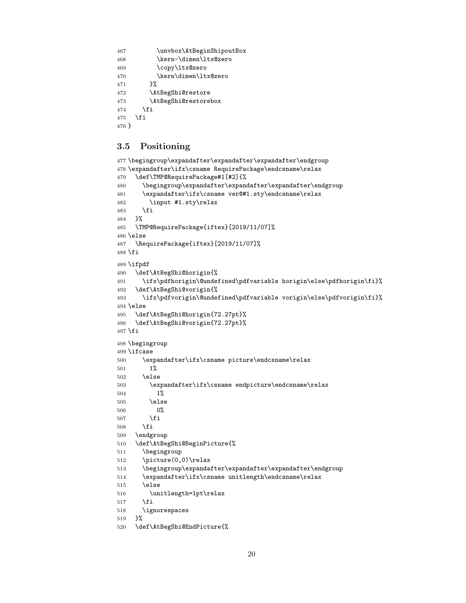```
467 \unvbox\AtBeginShipoutBox
468 \kern-\dimen\ltx@zero
469 \copy\ltx@zero
470 \kern\dimen\ltx@zero
471 }%
472 \AtBegShi@restore
473 \AtBegShi@restorebox
474 \fi
475 \fi
476 }
```
## <span id="page-19-9"></span><span id="page-19-0"></span>3.5 Positioning

```
477 \begingroup\expandafter\expandafter\expandafter\endgroup
478 \expandafter\ifx\csname RequirePackage\endcsname\relax
479 \def\TMP@RequirePackage#1[#2]{%
480 \begingroup\expandafter\expandafter\expandafter\endgroup
481 \expandafter\ifx\csname ver@#1.sty\endcsname\relax
482 \input #1.sty\relax
483 \fi
484 }%
485 \TMP@RequirePackage{iftex}[2019/11/07]%
486 \else
487 \RequirePackage{iftex}[2019/11/07]%
488 \fi
489 \ifpdf
490 \def\AtBegShi@horigin{%
491 \ifx\pdfhorigin\@undefined\pdfvariable horigin\else\pdfhorigin\fi}%
492 \def\AtBegShi@vorigin{%
493 \ifx\pdfvorigin\@undefined\pdfvariable vorigin\else\pdfvorigin\fi}%
494 \else
495 \def\AtBegShi@horigin{72.27pt}%
496 \def\AtBegShi@vorigin{72.27pt}%
497 \fi498 \begingroup
499 \ifcase
500 \expandafter\ifx\csname picture\endcsname\relax
501 1%
502 \else
503 \expandafter\ifx\csname endpicture\endcsname\relax
504 1%
505 \else
506 0%
507 \fi
508 \fi
509 \endgroup
510 \def\AtBegShi@BeginPicture{%
511 \begingroup
512 \picture(0,0)\relax
513 \begingroup\expandafter\expandafter\expandafter\endgroup
514 \expandafter\ifx\csname unitlength\endcsname\relax
515 \leq \leq \leq \leq \leq \leq \leq \leq \leq \leq \leq \leq \leq \leq \leq \leq \leq \leq \leq \leq \leq \leq \leq \leq \leq \leq \leq \leq \leq \leq \leq \leq \leq \leq \leq \leq516 \unitlength=1pt\relax
517 \fi
518 \ignorespaces
519 }%
520 \def\AtBegShi@EndPicture{%
```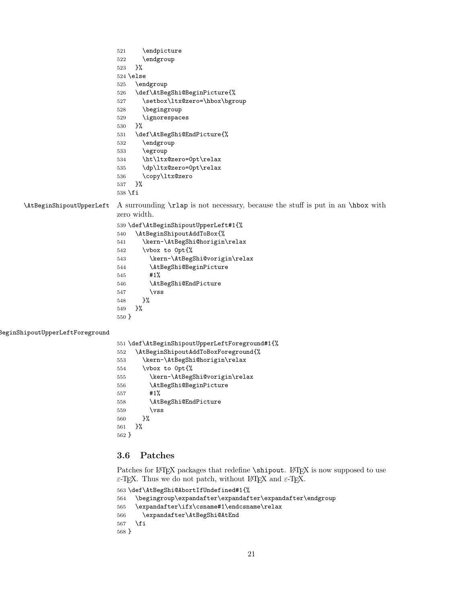<span id="page-20-23"></span><span id="page-20-22"></span><span id="page-20-21"></span><span id="page-20-20"></span><span id="page-20-19"></span><span id="page-20-17"></span><span id="page-20-10"></span><span id="page-20-7"></span><span id="page-20-3"></span>

|                                 | \endpicture<br>521                                                              |  |  |  |  |
|---------------------------------|---------------------------------------------------------------------------------|--|--|--|--|
|                                 | 522<br>\endgroup                                                                |  |  |  |  |
|                                 | 3%<br>523                                                                       |  |  |  |  |
|                                 | $524$ \else                                                                     |  |  |  |  |
|                                 | \endgroup<br>525                                                                |  |  |  |  |
|                                 | \def\AtBegShi@BeginPicture{%<br>526                                             |  |  |  |  |
|                                 | \setbox\ltx@zero=\hbox\bgroup<br>527                                            |  |  |  |  |
|                                 | \begingroup<br>528                                                              |  |  |  |  |
|                                 | \ignorespaces<br>529                                                            |  |  |  |  |
|                                 | }‰<br>530                                                                       |  |  |  |  |
|                                 | \def\AtBegShi@EndPicture{%<br>531                                               |  |  |  |  |
|                                 | \endgroup<br>532                                                                |  |  |  |  |
|                                 | \egroup<br>533                                                                  |  |  |  |  |
|                                 | \ht\ltx@zero=0pt\relax<br>534                                                   |  |  |  |  |
|                                 | \dp\ltx@zero=0pt\relax<br>535                                                   |  |  |  |  |
|                                 | \copy\ltx@zero<br>536                                                           |  |  |  |  |
|                                 | $\frac{1}{2}$<br>537                                                            |  |  |  |  |
|                                 | 538 \fi                                                                         |  |  |  |  |
| \AtBeginShipoutUpperLeft        | A surrounding \rian is not necessary, because the stuff is put in an \hbox with |  |  |  |  |
|                                 | zero width.                                                                     |  |  |  |  |
|                                 | 539 \def\AtBeginShipoutUpperLeft#1{%                                            |  |  |  |  |
|                                 | \AtBeginShipoutAddToBox{%<br>540                                                |  |  |  |  |
|                                 | \kern-\AtBegShi@horigin\relax<br>541                                            |  |  |  |  |
|                                 | \vbox to Opt{%<br>542                                                           |  |  |  |  |
|                                 | \kern-\AtBegShi@vorigin\relax<br>543                                            |  |  |  |  |
|                                 | \AtBegShi@BeginPicture<br>544                                                   |  |  |  |  |
|                                 | #1%<br>545                                                                      |  |  |  |  |
|                                 | \AtBegShi@EndPicture<br>546                                                     |  |  |  |  |
|                                 | $\sqrt{vs}$<br>547                                                              |  |  |  |  |
|                                 | $\frac{1}{2}$ %<br>548                                                          |  |  |  |  |
|                                 | }%<br>549                                                                       |  |  |  |  |
|                                 | 550 }                                                                           |  |  |  |  |
| BeginShipoutUpperLeftForeground |                                                                                 |  |  |  |  |
|                                 | 551 \def\AtBeginShipoutUpperLeftForeground#1{%                                  |  |  |  |  |
|                                 | \AtBeginShipoutAddToBoxForeground{%<br>552                                      |  |  |  |  |
|                                 | \kern-\AtBegShi@horigin\relax<br>553                                            |  |  |  |  |
|                                 | \vbox to Opt{%<br>554                                                           |  |  |  |  |
|                                 | \kern-\AtBegShi@vorigin\relax<br>555                                            |  |  |  |  |
|                                 |                                                                                 |  |  |  |  |

<span id="page-20-27"></span><span id="page-20-26"></span><span id="page-20-25"></span><span id="page-20-24"></span><span id="page-20-16"></span><span id="page-20-15"></span><span id="page-20-14"></span><span id="page-20-13"></span><span id="page-20-12"></span><span id="page-20-11"></span><span id="page-20-9"></span><span id="page-20-8"></span><span id="page-20-4"></span><span id="page-20-2"></span><span id="page-20-1"></span> \AtBegShi@BeginPicture #1% \AtBegShi@EndPicture  $\forall$ ss }% 561 }% }

## <span id="page-20-0"></span>3.6 Patches

Patches for LATEX packages that redefine  $\sinh \theta$ . LATEX is now supposed to use  $\varepsilon\text{-}\text{TeX}$  . Thus we do not patch, without IATEX and  $\varepsilon\text{-}\text{TeX}.$ 

```
563 \def\AtBegShi@AbortIfUndefined#1{%
564 \begingroup\expandafter\expandafter\expandafter\endgroup
565 \expandafter\ifx\csname#1\endcsname\relax
566 \expandafter\AtBegShi@AtEnd
567 \fi
568 }
```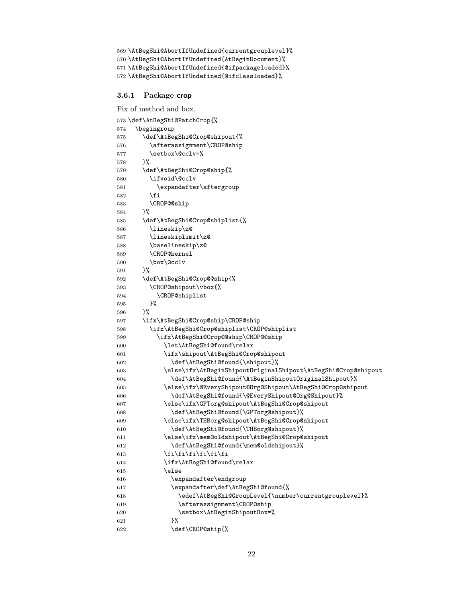```
569 \AtBegShi@AbortIfUndefined{currentgrouplevel}%
570 \AtBegShi@AbortIfUndefined{AtBeginDocument}%
571 \AtBegShi@AbortIfUndefined{@ifpackageloaded}%
572 \AtBegShi@AbortIfUndefined{@ifclassloaded}%
```
#### <span id="page-21-15"></span><span id="page-21-0"></span>3.6.1 Package crop

Fix of method and box.

```
573 \def\AtBegShi@PatchCrop{%
574 \begingroup
575 \def\AtBegShi@Crop@shipout{%
576 \afterassignment\CROP@ship
577 \setbox\@cclv=%
578 }%
579 \def\AtBegShi@Crop@ship{%
580 \ifvoid\@cclv
581 \expandafter\aftergroup
582 \fi
583 \CROP@@ship
584 }%
585 \def\AtBegShi@Crop@shiplist{%
586 \lineskip\z@
587 \lineskiplimit\z@
588 \baselineskip\z@
589 \CROP@kernel
590 \box\@cclv
591 }%
592 \def\AtBegShi@Crop@@ship{%
593 \CROP@shipout\vbox{%
594 \CROP@shiplist
595 }%
596 }%
597 \ifx\AtBegShi@Crop@ship\CROP@ship
598 \ifx\AtBegShi@Crop@shiplist\CROP@shiplist
599 \ifx\AtBegShi@Crop@@ship\CROP@@ship
600 \let\AtBegShi@found\relax
601 \ifx\shipout\AtBegShi@Crop@shipout
602 \def\AtBegShi@found{\shipout}%
603 \else\ifx\AtBeginShipoutOriginalShipout\AtBegShi@Crop@shipout
604 \def\AtBegShi@found{\AtBeginShipoutOriginalShipout}%
605 \else\ifx\@EveryShipout@Org@Shipout\AtBegShi@Crop@shipout
606 \def\AtBegShi@found{\@EveryShipout@Org@Shipout}%
607 \else\ifx\GPTorg@shipout\AtBegShi@Crop@shipout
608 \def\AtBegShi@found{\GPTorg@shipout}%
609 \else\ifx\THBorg@shipout\AtBegShi@Crop@shipout
610 \def\AtBegShi@found{\THBorg@shipout}%
611 \else\ifx\mem@oldshipout\AtBegShi@Crop@shipout
612 \def\AtBegShi@found{\mem@oldshipout}%
613 \if{if}{fi\fi\fi\fi614 \ifx\AtBegShi@found\relax
615 \else
616 \expandafter\endgroup
617 \expandafter\def\AtBegShi@found{%
618 \edef\AtBegShi@GroupLevel{\number\currentgrouplevel}%
619 \afterassignment\CROP@ship
620 \setbox\AtBeginShipoutBox=%
621 } }%
622 \def\CROP@ship{%
```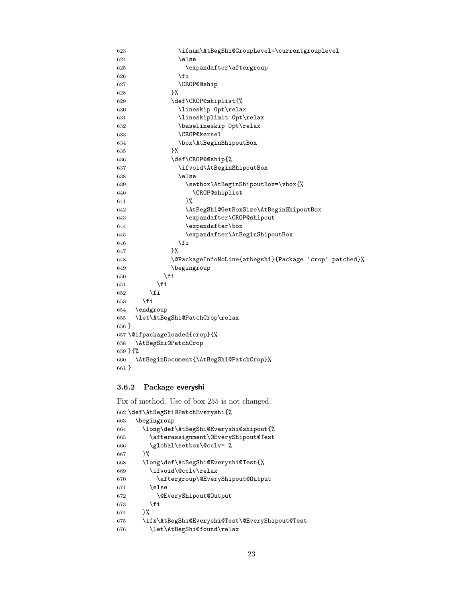```
623 \ifnum\AtBegShi@GroupLevel=\currentgrouplevel
624 \else
625 \expandafter\aftergroup
626 \fi
627 \CROP@@ship
628 }%
629 \def\CROP@shiplist{%
630 \lineskip 0pt\relax
631 \lineskiplimit 0pt\relax
632 \baselineskip 0pt\relax
633 \CROP@kernel
634 \box\AtBeginShipoutBox
635 }%
636 \def\CROP@@ship{%
637 \ifvoid\AtBeginShipoutBox
638 \else
639 \setbox\AtBeginShipoutBox=\vbox{%
640 \CROP@shiplist
641 }%
642 \AtBegShi@GetBoxSize\AtBeginShipoutBox
643 \expandafter\CROP@shipout
644 \expandafter\box
645 \expandafter\AtBeginShipoutBox
646 \chifi<br>647 \chi<sup>6</sup>
647
648 \@PackageInfoNoLine{atbegshi}{Package 'crop' patched}%
649 \begingroup
650 \fi
651 \fi
652 \setminusfi
653 \setminusfi
654 \endgroup
655 \let\AtBegShi@PatchCrop\relax
656 }
657 \@ifpackageloaded{crop}{%
658 \AtBegShi@PatchCrop
659 }{%
660 \AtBeginDocument{\AtBegShi@PatchCrop}%
661 }
```
#### <span id="page-22-24"></span><span id="page-22-21"></span><span id="page-22-20"></span><span id="page-22-15"></span><span id="page-22-10"></span><span id="page-22-8"></span><span id="page-22-5"></span><span id="page-22-0"></span>3.6.2 Package everyshi

Fix of method. Use of box 255 is not changed.

<span id="page-22-22"></span><span id="page-22-18"></span><span id="page-22-17"></span><span id="page-22-16"></span><span id="page-22-7"></span><span id="page-22-6"></span><span id="page-22-4"></span><span id="page-22-3"></span><span id="page-22-2"></span><span id="page-22-1"></span>

|     | 662 \def\AtBegShi@PatchEveryshi{%              |
|-----|------------------------------------------------|
| 663 | \begingroup                                    |
| 664 | \long\def\AtBegShi@Everyshi@shipout{%          |
| 665 | \afterassignment\@EveryShipout@Test            |
| 666 | \global\setbox\@cclv= %                        |
| 667 | ን%                                             |
| 668 | \long\def\AtBegShi@Everyshi@Test{%             |
| 669 | \ifvoid\@cclv\relax                            |
| 670 | \aftergroup\@EveryShipout@Output               |
| 671 | \else                                          |
| 672 | \@EveryShipout@Output                          |
| 673 | \fi                                            |
| 674 | ጉ%                                             |
| 675 | \ifx\AtBegShi@Everyshi@Test\@EveryShipout@Test |
| 676 | \let\AtBegShi@found\relax                      |
|     |                                                |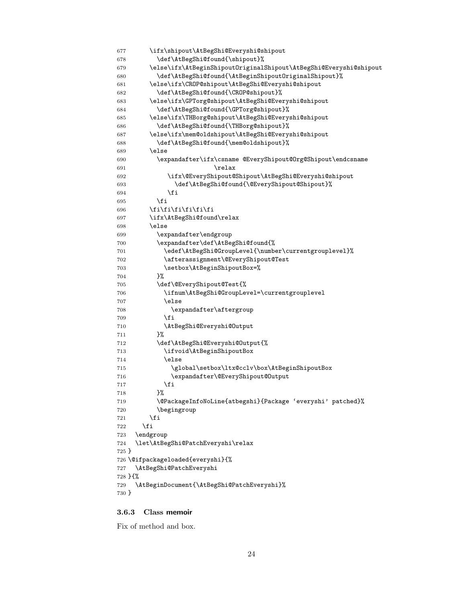```
677 \ifx\shipout\AtBegShi@Everyshi@shipout
678 \def\AtBegShi@found{\shipout}%
679 \else\ifx\AtBeginShipoutOriginalShipout\AtBegShi@Everyshi@shipout
680 \def\AtBegShi@found{\AtBeginShipoutOriginalShipout}%
681 \else\ifx\CROP@shipout\AtBegShi@Everyshi@shipout
682 \def\AtBegShi@found{\CROP@shipout}%
683 \else\ifx\GPTorg@shipout\AtBegShi@Everyshi@shipout
684 \def\AtBegShi@found{\GPTorg@shipout}%
685 \else\ifx\THBorg@shipout\AtBegShi@Everyshi@shipout
686 \def\AtBegShi@found{\THBorg@shipout}%
687 \else\ifx\mem@oldshipout\AtBegShi@Everyshi@shipout
688 \def\AtBegShi@found{\mem@oldshipout}%
689 \else
690 \expandafter\ifx\csname @EveryShipout@Org@Shipout\endcsname
691 \overline{\phantom{a}} \quad \text{relax}692 \ifx\@EveryShipout@Shipout\AtBegShi@Everyshi@shipout
693 \def\AtBegShi@found{\@EveryShipout@Shipout}%
694 \overline{\phantom{a}} \fi
695 \fi
696 \fi\fi\fi\fi\fi\fi\fi
697 \ifx\AtBegShi@found\relax
698 \else
699 \expandafter\endgroup
700 \expandafter\def\AtBegShi@found{%
701 \edef\AtBegShi@GroupLevel{\number\currentgrouplevel}%
702 \afterassignment\@EveryShipout@Test
703 \setbox\AtBeginShipoutBox=%
704 }%
705 \def\@EveryShipout@Test{%
706 \ifnum\AtBegShi@GroupLevel=\currentgrouplevel
707 \else
708 \expandafter\aftergroup
709 \quad \text{If} \quad710 \AtBegShi@Everyshi@Output
711 }%
712 \def\AtBegShi@Everyshi@Output{%
713 \ifvoid\AtBeginShipoutBox
714 \else
715 \global\setbox\ltx@cclv\box\AtBeginShipoutBox
716 \expandafter\@EveryShipout@Output
717 \fi
718 }%
719 \@PackageInfoNoLine{atbegshi}{Package 'everyshi' patched}%
720 \begingroup
721 \qquad \qquad \int fi
722 \fi
723 \endgroup
724 \let\AtBegShi@PatchEveryshi\relax
725 }
726 \@ifpackageloaded{everyshi}{%
727 \AtBegShi@PatchEveryshi
728 }{%
729 \AtBeginDocument{\AtBegShi@PatchEveryshi}%
730 }
```
#### <span id="page-23-32"></span><span id="page-23-31"></span><span id="page-23-30"></span><span id="page-23-16"></span><span id="page-23-15"></span><span id="page-23-12"></span><span id="page-23-11"></span><span id="page-23-9"></span><span id="page-23-8"></span><span id="page-23-7"></span><span id="page-23-6"></span><span id="page-23-5"></span><span id="page-23-1"></span><span id="page-23-0"></span>3.6.3 Class memoir

Fix of method and box.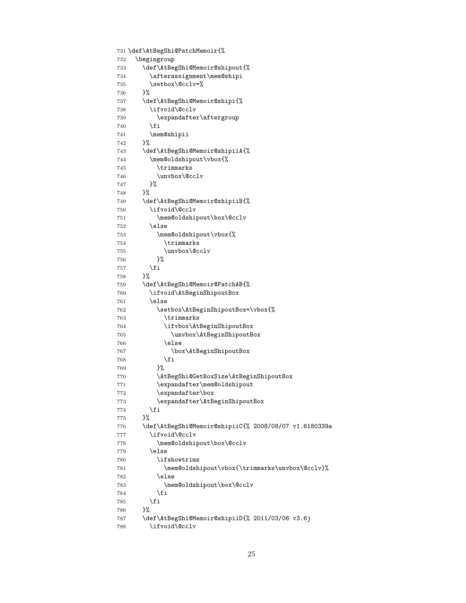```
731 \def\AtBegShi@PatchMemoir{%
732 \begingroup
733 \def\AtBegShi@Memoir@shipout{%
734 \afterassignment\mem@shipi
735 \setbox\@cclv=%
736 }%
737 \def\AtBegShi@Memoir@shipi{%
738 \ifvoid\@cclv
739 \expandafter\aftergroup
740 \overline{f}741 \mem@shipii
742 }%
743 \def\AtBegShi@Memoir@shipiiA{%
744 \mem@oldshipout\vbox{%
745 \trimmarks
746 \unvbox\@cclv
747 }%
748 }%
749 \def\AtBegShi@Memoir@shipiiB{%
750 \ifvoid\@cclv
751 \mem@oldshipout\box\@cclv
752 \else
753 \mem@oldshipout\vbox{%
754 \trimmarks
755 \unvbox\@cclv
756 }%
757 \overline{1}758 }%
759 \def\AtBegShi@Memoir@PatchAB{%
760 \ifvoid\AtBeginShipoutBox
761 \else
762 \setbox\AtBeginShipoutBox=\vbox{%
763 \trimmarks
764 \ifvbox\AtBeginShipoutBox
765 \unvbox\AtBeginShipoutBox
766 \else
767 \box\AtBeginShipoutBox
768 \setminusfi
769 }%
770 \AtBegShi@GetBoxSize\AtBeginShipoutBox
771 \expandafter\mem@oldshipout
772 \expandafter\box
773 \expandafter\AtBeginShipoutBox
774 \fi
775 }%
776 \def\AtBegShi@Memoir@shipiiC{% 2008/08/07 v1.6180339a
777 \ifvoid\@cclv
778 \mem@oldshipout\box\@cclv
779 \else
780 \ifshowtrims
781 \mem@oldshipout\vbox{\trimmarks\unvbox\@cclv}%
782 \else
783 \mem@oldshipout\box\@cclv
784 \fi
785 \fi
786 }%
787 \def\AtBegShi@Memoir@shipiiD{% 2011/03/06 v3.6j
788 \ifvoid\@cclv
```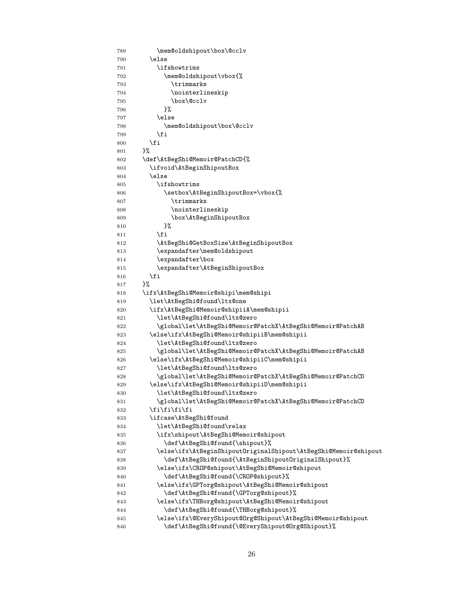<span id="page-25-45"></span><span id="page-25-44"></span><span id="page-25-43"></span><span id="page-25-42"></span><span id="page-25-41"></span><span id="page-25-40"></span><span id="page-25-39"></span><span id="page-25-38"></span><span id="page-25-37"></span><span id="page-25-36"></span><span id="page-25-35"></span><span id="page-25-34"></span><span id="page-25-33"></span><span id="page-25-32"></span><span id="page-25-31"></span><span id="page-25-30"></span><span id="page-25-29"></span><span id="page-25-28"></span><span id="page-25-27"></span><span id="page-25-26"></span><span id="page-25-25"></span><span id="page-25-24"></span><span id="page-25-23"></span><span id="page-25-22"></span><span id="page-25-21"></span><span id="page-25-20"></span><span id="page-25-19"></span><span id="page-25-18"></span><span id="page-25-17"></span><span id="page-25-16"></span><span id="page-25-15"></span><span id="page-25-14"></span><span id="page-25-13"></span><span id="page-25-12"></span><span id="page-25-11"></span><span id="page-25-10"></span><span id="page-25-9"></span><span id="page-25-8"></span><span id="page-25-7"></span><span id="page-25-6"></span><span id="page-25-5"></span><span id="page-25-4"></span><span id="page-25-3"></span><span id="page-25-2"></span><span id="page-25-1"></span><span id="page-25-0"></span>

| 789 | \mem@oldshipout\box\@cclv                                       |
|-----|-----------------------------------------------------------------|
| 790 | \else                                                           |
| 791 | \ifshowtrims                                                    |
| 792 | \mem@oldshipout\vbox{%                                          |
| 793 | \trimmarks                                                      |
| 794 | \nointerlineskip                                                |
| 795 | \box\@cclv                                                      |
| 796 | }%                                                              |
| 797 | \else                                                           |
| 798 | \mem@oldshipout\box\@cclv                                       |
| 799 | \fi                                                             |
| 800 | \fi                                                             |
| 801 | }‰                                                              |
| 802 | \def\AtBegShi@Memoir@PatchCD{%                                  |
| 803 | \ifvoid\AtBeginShipoutBox                                       |
| 804 | \else                                                           |
| 805 | \ifshowtrims\                                                   |
| 806 | \setbox\AtBeginShipoutBox=\vbox{%                               |
| 807 | \trimmarks                                                      |
| 808 | \nointerlineskip                                                |
| 809 | \box\AtBeginShipoutBox                                          |
| 810 | }%                                                              |
| 811 | \fi                                                             |
| 812 | \AtBegShi@GetBoxSize\AtBeginShipoutBox                          |
| 813 | \expandafter\mem@oldshipout                                     |
| 814 | \expandafter\box                                                |
| 815 | \expandafter\AtBeginShipoutBox                                  |
| 816 | \fi                                                             |
| 817 | }‰                                                              |
| 818 | \ifx\AtBegShi@Memoir@shipi\mem@shipi                            |
| 819 | \let\AtBegShi@found\ltx@one                                     |
| 820 | \ifx\AtBegShi@Memoir@shipiiA\mem@shipii                         |
| 821 | \let\AtBegShi@found\ltx@zero                                    |
| 822 | \global\let\AtBegShi@Memoir@PatchX\AtBegShi@Memoir@PatchAB      |
| 823 | \else\ifx\AtBegShi@Memoir@shipiiB\mem@shipii                    |
| 824 | \let\AtBegShi@found\ltx@zero                                    |
| 825 | \global\let\AtBegShi@Memoir@PatchX\AtBegShi@Memoir@PatchAB      |
| 826 | \else\ifx\AtBegShi@Memoir@shipiiC\mem@shipii                    |
| 827 | \let\AtBegShi@found\ltx@zero                                    |
| 828 | \global\let\AtBegShi@Memoir@PatchX\AtBegShi@Memoir@PatchCD      |
| 829 | \else\ifx\AtBegShi@Memoir@shipiiD\mem@shipii                    |
| 830 | \let\AtBegShi@found\ltx@zero                                    |
| 831 | \global\let\AtBegShi@Memoir@PatchX\AtBegShi@Memoir@PatchCD      |
| 832 | \fi\fi\fi\fi                                                    |
| 833 | \ifcase\AtBegShi@found                                          |
| 834 | \let\AtBegShi@found\relax                                       |
| 835 | \ifx\shipout\AtBegShi@Memoir@shipout                            |
| 836 | \def\AtBegShi@found{\shipout}%                                  |
| 837 | \else\ifx\AtBeginShipoutOriginalShipout\AtBegShi@Memoir@shipout |
| 838 | \def\AtBegShi@found{\AtBeginShipoutOriginalShipout}%            |
| 839 | \else\ifx\CROP@shipout\AtBegShi@Memoir@shipout                  |
| 840 | \def\AtBegShi@found{\CROP@shipout}%                             |
| 841 | \else\ifx\GPTorg@shipout\AtBegShi@Memoir@shipout                |
| 842 | \def\AtBegShi@found{\GPTorg@shipout}%                           |
| 843 | \else\ifx\THBorg@shipout\AtBegShi@Memoir@shipout                |
| 844 | \def\AtBegShi@found{\THBorg@shipout}%                           |
| 845 | \else\ifx\@EveryShipout@Org@Shipout\AtBegShi@Memoir@shipout     |
| 846 | \def\AtBegShi@found{\@EveryShipout@Org@Shipout}%                |
|     |                                                                 |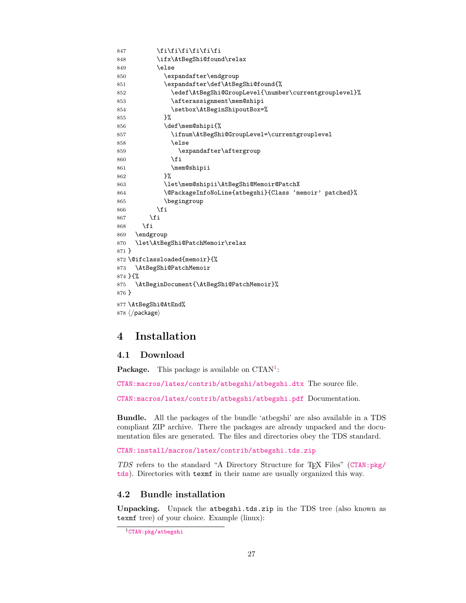```
847 \fi\fi\fi\fi\fi\fi
848 \ifx\AtBegShi@found\relax
849 \else
850 \expandafter\endgroup
851 \expandafter\def\AtBegShi@found{%
852 \edef\AtBegShi@GroupLevel{\number\currentgrouplevel}%
853 \afterassignment\mem@shipi
854 \setbox\AtBeginShipoutBox=%
855 }%
856 \def\mem@shipi{%
857 \ifnum\AtBegShi@GroupLevel=\currentgrouplevel
858 \else
859 \expandafter\aftergroup
860 \quad \text{If}861 \mem@shipii
862 }%
863 \let\mem@shipii\AtBegShi@Memoir@PatchX
864 \@PackageInfoNoLine{atbegshi}{Class 'memoir' patched}%
865 \begingroup
866 \fi
867 \fi
868 \fi
869 \endgroup
870 \let\AtBegShi@PatchMemoir\relax
871 }
872 \@ifclassloaded{memoir}{%
873 \AtBegShi@PatchMemoir
874 }{%
875 \AtBeginDocument{\AtBegShi@PatchMemoir}%
876 }
877 \AtBegShi@AtEnd%
878\langle/package\rangle
```
# <span id="page-26-17"></span><span id="page-26-16"></span><span id="page-26-10"></span><span id="page-26-8"></span><span id="page-26-5"></span><span id="page-26-0"></span>4 Installation

#### <span id="page-26-1"></span>4.1 Download

**Package.** This package is available on  $CTAN^1$  $CTAN^1$ :

[CTAN:macros/latex/contrib/atbegshi/atbegshi.dtx](https://ctan.org/tex-archive/macros/latex/contrib/atbegshi/atbegshi.dtx) The source file.

[CTAN:macros/latex/contrib/atbegshi/atbegshi.pdf](https://ctan.org/tex-archive/macros/latex/contrib/atbegshi/atbegshi.pdf) Documentation.

Bundle. All the packages of the bundle 'atbegshi' are also available in a TDS compliant ZIP archive. There the packages are already unpacked and the documentation files are generated. The files and directories obey the TDS standard.

[CTAN:install/macros/latex/contrib/atbegshi.tds.zip](http://mirrors.ctan.org/install/macros/latex/contrib/atbegshi.tds.zip)

TDS refers to the standard "A Directory Structure for TEX Files" ([CTAN:pkg/](http://ctan.org/pkg/tds) [tds](http://ctan.org/pkg/tds)). Directories with texmf in their name are usually organized this way.

## <span id="page-26-2"></span>4.2 Bundle installation

Unpacking. Unpack the atbegshi.tds.zip in the TDS tree (also known as texmf tree) of your choice. Example (linux):

<span id="page-26-3"></span><sup>1</sup>[CTAN:pkg/atbegshi](http://ctan.org/pkg/atbegshi)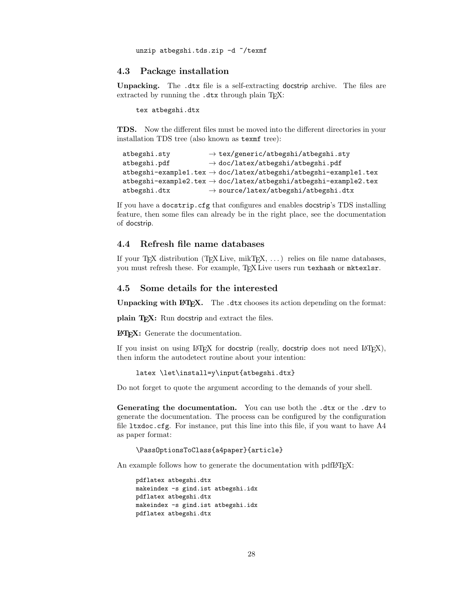unzip atbegshi.tds.zip -d "/texmf

#### <span id="page-27-0"></span>4.3 Package installation

Unpacking. The .dtx file is a self-extracting docstrip archive. The files are extracted by running the .dtx through plain TFX:

tex atbegshi.dtx

TDS. Now the different files must be moved into the different directories in your installation TDS tree (also known as texmf tree):

```
atbegshi.sty → tex/generic/atbegshi/atbegshi.sty
at \text{begshi.pdf} \rightarrow \text{doc/lates/at \text{begshi/at \text{begshi.pdf}}atbegin-example1.tex \rightarrow doc/latex/atbegshi/atbegshi-example1.tex
atbegshi-example2.tex \rightarrow doc/latex/atbegshi/atbegshi-example2.texatbegin .dtx \rightarrow source/latex/atbegshi/atbegshi.dtx
```
If you have a docstrip.cfg that configures and enables docstrip's TDS installing feature, then some files can already be in the right place, see the documentation of docstrip.

## <span id="page-27-1"></span>4.4 Refresh file name databases

If your T<sub>E</sub>X distribution  $(TEX\text{ Live}, \text{mikTrX}, \ldots)$  relies on file name databases, you must refresh these. For example, TEX Live users run texhash or mktexlsr.

## <span id="page-27-2"></span>4.5 Some details for the interested

**Unpacking with LATEX.** The  $\cdot$  dtx chooses its action depending on the format:

plain T<sub>E</sub>X: Run docstrip and extract the files.

LATEX: Generate the documentation.

If you insist on using  $L^2T_FX$  for docstrip (really, docstrip does not need  $L^2T_FX$ ), then inform the autodetect routine about your intention:

```
latex \let\install=y\input{atbegshi.dtx}
```
Do not forget to quote the argument according to the demands of your shell.

Generating the documentation. You can use both the .dtx or the .drv to generate the documentation. The process can be configured by the configuration file ltxdoc.cfg. For instance, put this line into this file, if you want to have A4 as paper format:

\PassOptionsToClass{a4paper}{article}

An example follows how to generate the documentation with pdfI4T<sub>F</sub>X:

```
pdflatex atbegshi.dtx
makeindex -s gind.ist atbegshi.idx
pdflatex atbegshi.dtx
makeindex -s gind.ist atbegshi.idx
pdflatex atbegshi.dtx
```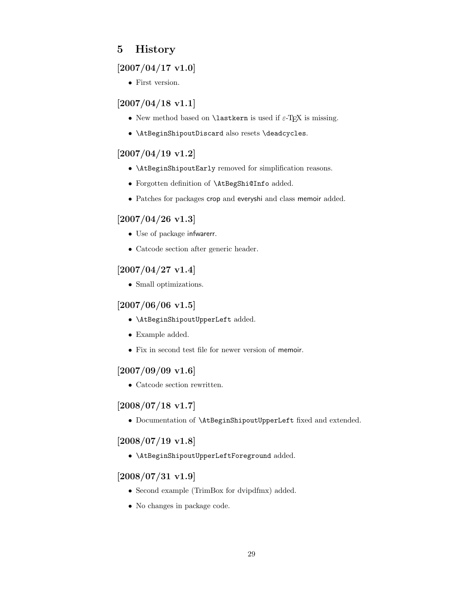# <span id="page-28-0"></span>5 History

## <span id="page-28-1"></span>[2007/04/17 v1.0]

• First version.

## <span id="page-28-2"></span> $[2007/04/18 \text{ v}1.1]$

- New method based on **\lastkern** is used if  $\varepsilon$ -T<sub>E</sub>X is missing.
- \AtBeginShipoutDiscard also resets \deadcycles.

## <span id="page-28-3"></span>[2007/04/19 v1.2]

- \AtBeginShipoutEarly removed for simplification reasons.
- Forgotten definition of \AtBegShi@Info added.
- Patches for packages crop and everyshi and class memoir added.

## <span id="page-28-4"></span>[2007/04/26 v1.3]

- Use of package infwarerr.
- Catcode section after generic header.

## <span id="page-28-5"></span> $[2007/04/27 \text{ v}1.4]$

• Small optimizations.

## <span id="page-28-6"></span> $[2007/06/06 v1.5]$

- \AtBeginShipoutUpperLeft added.
- Example added.
- Fix in second test file for newer version of memoir.

## <span id="page-28-7"></span> $[2007/09/09 \text{ v}1.6]$

• Catcode section rewritten.

## <span id="page-28-8"></span>[2008/07/18 v1.7]

• Documentation of \AtBeginShipoutUpperLeft fixed and extended.

## <span id="page-28-9"></span> $[2008/07/19 \text{ v}1.8]$

• \AtBeginShipoutUpperLeftForeground added.

## <span id="page-28-10"></span>[2008/07/31 v1.9]

- Second example (TrimBox for dvipdfmx) added.
- No changes in package code.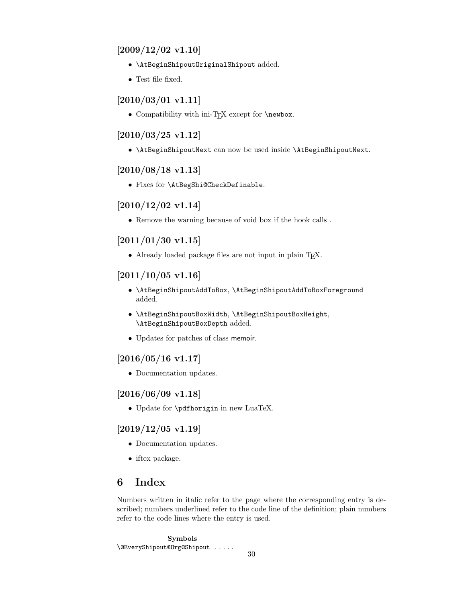## <span id="page-29-0"></span> $[2009/12/02 \text{ v}1.10]$

- \AtBeginShipoutOriginalShipout added.
- Test file fixed.

## <span id="page-29-1"></span> $[2010/03/01 \text{ v}1.11]$

• Compatibility with ini-T<sub>E</sub>X except for **\newbox**.

## <span id="page-29-2"></span>[2010/03/25 v1.12]

• \AtBeginShipoutNext can now be used inside \AtBeginShipoutNext.

## <span id="page-29-3"></span> $[2010/08/18 \text{ v}1.13]$

• Fixes for \AtBegShi@CheckDefinable.

## <span id="page-29-4"></span> $[2010/12/02 \text{ v}1.14]$

• Remove the warning because of void box if the hook calls .

## <span id="page-29-5"></span> $[2011/01/30 v1.15]$

• Already loaded package files are not input in plain TFX.

## <span id="page-29-6"></span> $[2011/10/05 \text{ v}1.16]$

- \AtBeginShipoutAddToBox, \AtBeginShipoutAddToBoxForeground added.
- \AtBeginShipoutBoxWidth, \AtBeginShipoutBoxHeight, \AtBeginShipoutBoxDepth added.
- Updates for patches of class memoir.

## <span id="page-29-7"></span> $[2016/05/16 \text{ v}1.17]$

• Documentation updates.

## <span id="page-29-8"></span>[2016/06/09 v1.18]

• Update for \pdfhorigin in new LuaTeX.

## <span id="page-29-9"></span> $[2019/12/05 \text{ v}1.19]$

- Documentation updates.
- iftex package.

# <span id="page-29-10"></span>6 Index

Numbers written in italic refer to the page where the corresponding entry is described; numbers underlined refer to the code line of the definition; plain numbers refer to the code lines where the entry is used.

Symbols \@EveryShipout@Org@Shipout . . . . .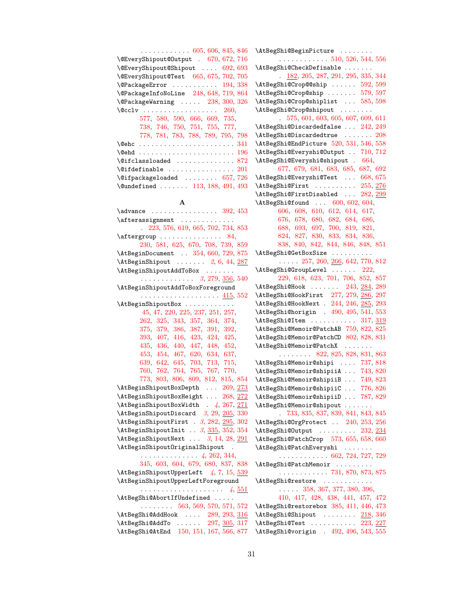| $\ldots \ldots \ldots \ldots 605, 606, 845, 846$        |
|---------------------------------------------------------|
| \@EveryShipout@Output . 670, 672, 716                   |
| \@EveryShipout@Shipout  692, 693                        |
| \@EveryShipout@Test 665, 675, 702, 705                  |
| $\text{QPackageError} \dots \dots \dots \quad 194, 338$ |
| \@PackageInfoNoLine 248, 648, 719, 864                  |
| $\text{QPackageWarning} \dots 238, 300, 326$            |
| $\sqrt{cclv}$ 260,                                      |
| 577, 580, 590, 666, 669, 735,                           |
| 738, 746, 750, 751, 755, 777,                           |
| 778, 781, 783, 788, 789, 795, 798                       |
|                                                         |
|                                                         |
| $\text{Qifclassloaded}$ 872                             |
| $\setminus$ @ifdefinable  201                           |
| $\left\{ \alpha \right\}$ (Oifpackageloaded  657, 726   |
| \@undefined  113, 188, 491, 493                         |

#### A

| $\lambda$ advance  392, 453                                |  |  |  |  |
|------------------------------------------------------------|--|--|--|--|
| $\verb+\afferassignment~~$                                 |  |  |  |  |
| 223, 576, 619, 665, 702, 734, 853                          |  |  |  |  |
|                                                            |  |  |  |  |
| 230, 581, 625, 670, 708, 739, 859                          |  |  |  |  |
| \AtBeginDocument  354, 660, 729, 875                       |  |  |  |  |
| $\lambda tBeginShipout \ldots 2, 6, 44, 287$               |  |  |  |  |
| \AtBeginShipoutAddToBox                                    |  |  |  |  |
| $\cdots$ 3, 279, <u>356</u> , 540                          |  |  |  |  |
| \AtBeginShipoutAddToBoxForeground                          |  |  |  |  |
|                                                            |  |  |  |  |
| \AtBeginShipoutBox                                         |  |  |  |  |
| 45, 47, 220, 225, 237, 251, 257,                           |  |  |  |  |
| 262, 325, 343, 357, 364, 374,                              |  |  |  |  |
| 375, 379, 386, 387, 391, 392,                              |  |  |  |  |
| 393, 407, 416, 423, 424, 425,                              |  |  |  |  |
| 435, 436, 440, 447, 448, 452,                              |  |  |  |  |
| 453, 454, 467, 620, 634, 637,                              |  |  |  |  |
| 639, 642, 645, 703, 713, 715,                              |  |  |  |  |
| 760, 762, 764, 765, 767, 770,                              |  |  |  |  |
| 773, 803, 806, 809, 812, 815, 854                          |  |  |  |  |
| \AtBeginShipoutBoxDepth  269, 273                          |  |  |  |  |
| \AtBeginShipoutBoxHeight  268, 272                         |  |  |  |  |
| \AtBeginShipoutBoxWidth . 4, 267, 271                      |  |  |  |  |
| \AtBeginShipoutDiscard 3, 29, 205, 330                     |  |  |  |  |
| \AtBeginShipoutFirst . 3, 282, 295, 302                    |  |  |  |  |
| \AtBeginShipoutInit . 3, 335, 352, 354                     |  |  |  |  |
| $\Lambda tBeginShipoutNext \ldots 3, 14, 28, 291$          |  |  |  |  |
| \AtBeginShipoutOriginalShipout .                           |  |  |  |  |
| $\cdots \cdots \cdots \cdots \cdots 4, 262, 344,$          |  |  |  |  |
| 345, 603, 604, 679, 680, 837, 838                          |  |  |  |  |
| $\Lambda tBeginShipoutUpperLeft$ 4, 7, 15, 539             |  |  |  |  |
| \AtBeginShipoutUpperLeftForeground                         |  |  |  |  |
|                                                            |  |  |  |  |
| \AtBegShi@AbortIfUndefined                                 |  |  |  |  |
| $\ldots \ldots 563, 569, 570, 571, 572$                    |  |  |  |  |
| $\verb+\AtBegShi@AddHook~~.~.~.~289, 293, \underline{316}$ |  |  |  |  |
| \AtBegShi@AddTo  297, 305, 317                             |  |  |  |  |

\AtBegShi@BeginPicture . . . . . . . . . . . . . . . . . . . . [510,](#page-19-4) [526,](#page-20-7) [544,](#page-20-8) [556](#page-20-9) \AtBegShi@CheckDefinable . . . . . . . . [182,](#page-13-5) [205,](#page-13-6) [287,](#page-15-13) [291,](#page-15-14) [295,](#page-15-15) [335,](#page-16-14) [344](#page-16-9) \AtBegShi@Crop@@ship ...... [592,](#page-21-16) [599](#page-21-17) \AtBegShi@Crop@ship ....... [579,](#page-21-18) [597](#page-21-19) \AtBegShi@Crop@shiplist . . . [585,](#page-21-20) [598](#page-21-21) \AtBegShi@Crop@shipout ........ . [575,](#page-21-22) [601,](#page-21-23) [603,](#page-21-10) [605,](#page-21-1) [607,](#page-21-24) [609,](#page-21-25) [611](#page-21-26) \AtBegShi@Discardedfalse . . . [242,](#page-14-14) [249](#page-14-15) \AtBegShi@Discardedtrue . . . . . . . [208](#page-13-7) \AtBegShi@EndPicture [520,](#page-19-5) [531,](#page-20-10) [546,](#page-20-11) [558](#page-20-12) \AtBegShi@Everyshi@Output . . [710,](#page-23-15) [712](#page-23-16) \AtBegShi@Everyshi@shipout . [664,](#page-22-16) [677,](#page-23-17) [679,](#page-23-13) [681,](#page-23-18) [683,](#page-23-19) [685,](#page-23-20) [687,](#page-23-21) [692](#page-23-2) \AtBegShi@Everyshi@Test . . . [668,](#page-22-17) [675](#page-22-4) \AtBegShi@First . . . . . . . . . [255,](#page-14-16) [276](#page-15-16) \AtBegShi@FirstDisabled ... [282,](#page-15-6) [299](#page-15-17) \AtBegShi@found . . . [600,](#page-21-27) [602,](#page-21-28) [604,](#page-21-11) [606,](#page-21-2) [608,](#page-21-29) [610,](#page-21-30) [612,](#page-21-31) [614,](#page-21-32) [617,](#page-21-33) [676,](#page-22-18) [678,](#page-23-22) [680,](#page-23-14) [682,](#page-23-23) [684,](#page-23-24) [686,](#page-23-25) [688,](#page-23-26) [693,](#page-23-3) [697,](#page-23-27) [700,](#page-23-28) [819,](#page-25-12) [821,](#page-25-13) [824,](#page-25-14) [827,](#page-25-15) [830,](#page-25-16) [833,](#page-25-17) [834,](#page-25-18) [836,](#page-25-19) [838,](#page-25-11) [840,](#page-25-20) [842,](#page-25-21) [844,](#page-25-22) [846,](#page-25-1) [848,](#page-26-11) [851](#page-26-12) \AtBegShi@GetBoxSize . . . . . . . . . . . . . . . [257,](#page-14-9) [260,](#page-14-2) [266,](#page-14-17) [642,](#page-22-14) [770,](#page-24-18) [812](#page-25-8) \AtBegShi@GroupLevel ...... [222,](#page-14-18) [229,](#page-14-19) [618,](#page-21-34) [623,](#page-22-19) [701,](#page-23-29) [706,](#page-23-30) [852,](#page-26-13) [857](#page-26-14) \AtBegShi@Hook ...... [243,](#page-14-20) [284,](#page-15-18) [289](#page-15-10) \AtBegShi@HookFirst [277,](#page-15-19) [279,](#page-15-2) [286,](#page-15-20) [297](#page-15-12) \AtBegShi@HookNext . [244,](#page-14-21) [246,](#page-14-22) [285,](#page-15-21) [293](#page-15-11) \AtBegShi@horigin . [490,](#page-19-6) [495,](#page-19-7) [541,](#page-20-13) [553](#page-20-14) \AtBegShi@Item . . . . . . . . . . [317,](#page-16-13) [319](#page-16-15) \AtBegShi@Memoir@PatchAB [759,](#page-24-20) [822,](#page-25-23) [825](#page-25-24) \AtBegShi@Memoir@PatchCD [802,](#page-25-25) [828,](#page-25-26) [831](#page-25-27) \AtBegShi@Memoir@PatchX . . . . . . . . . . . . . . . [822,](#page-25-23) [825,](#page-25-24) [828,](#page-25-26) [831,](#page-25-27) [863](#page-26-15) \AtBegShi@Memoir@shipi . . . . [737,](#page-24-21) [818](#page-25-28) \AtBegShi@Memoir@shipiiA . . . [743,](#page-24-22) [820](#page-25-29) \AtBegShi@Memoir@shipiiB . . . [749,](#page-24-23) [823](#page-25-30) \AtBegShi@Memoir@shipiiC . . . [776,](#page-24-24) [826](#page-25-31) \AtBegShi@Memoir@shipiiD . . . [787,](#page-24-25) [829](#page-25-32) \AtBegShi@Memoir@shipout . . . . . . . . [733,](#page-24-26) [835,](#page-25-33) [837,](#page-25-10) [839,](#page-25-34) [841,](#page-25-35) [843,](#page-25-36) [845](#page-25-0) \AtBegShi@OrgProtect . . [240,](#page-14-23) [253,](#page-14-24) [256](#page-14-25) \AtBegShi@Output . . . . . . . . [232,](#page-14-26) [234](#page-14-27) \AtBegShi@PatchCrop [573,](#page-21-35) [655,](#page-22-20) [658,](#page-22-21) [660](#page-22-10) \AtBegShi@PatchEveryshi . . . . . . . . . . . . . . . . . . . [662,](#page-22-22) [724,](#page-23-31) [727,](#page-23-32) [729](#page-23-9) \AtBegShi@PatchMemoir . . . . . . . . . . . . . . . . . . . . . [731,](#page-24-27) [870,](#page-26-16) [873,](#page-26-17) [875](#page-26-8) \AtBegShi@restore . . . . . . . . . . . . . . . . . [358,](#page-17-13) [367,](#page-17-14) [377,](#page-17-15) [380,](#page-17-16) [396,](#page-17-17) [410,](#page-17-18) [417,](#page-18-13) [428,](#page-18-14) [438,](#page-18-15) [441,](#page-18-16) [457,](#page-18-17) [472](#page-19-8) \AtBegShi@restorebox [385,](#page-17-19) [411,](#page-18-18) [446,](#page-18-19) [473](#page-19-9)  $\Lambda tBegShi@Shipout$  . . . . . . . [218,](#page-13-8) [346](#page-16-16) \AtBegShi@Test . . . . . . . . . . [223,](#page-14-3) [227](#page-14-28)

\AtBegShi@AtEnd [150,](#page-12-2) [151,](#page-12-3) [167,](#page-12-4) [566,](#page-20-6) [877](#page-26-10) \AtBegShi@vorigin . [492,](#page-19-10) [496,](#page-19-11) [543,](#page-20-15) [555](#page-20-16)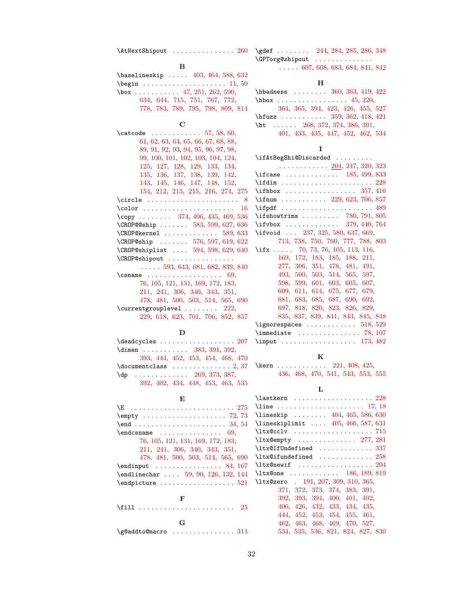\AtNextShipout . . . . . . . . . . . . . . [260](#page-14-2) \gdef . . . . . . . . [244,](#page-14-21) [284,](#page-15-24) [285,](#page-15-25) [286,](#page-15-26) [348](#page-16-21)

## $\, {\bf B}$

| $\{\text{baselineskip} \dots \ 403, 464, 588, 632\}$                               |  |  |                                   |  |
|------------------------------------------------------------------------------------|--|--|-----------------------------------|--|
| $\begin{matrix} \texttt{begin} \dots & \dots & \dots & \dots & 11,50 \end{matrix}$ |  |  |                                   |  |
| \box  47, 251, 262, 590,                                                           |  |  |                                   |  |
|                                                                                    |  |  | 634, 644, 715, 751, 767, 772,     |  |
|                                                                                    |  |  | 778, 783, 789, 795, 798, 809, 814 |  |

#### C

| $\ldots \ldots \ldots \ldots 57, 58, 60,$<br>\catcode |
|-------------------------------------------------------|
| 61, 62, 63, 64, 65, 66, 67, 68, 88,                   |
| 89, 91, 92, 93, 94, 95, 96, 97, 98,                   |
| 99, 100, 101, 102, 103, 104, 124,                     |
| 125, 127, 128, 129, 133, 134,                         |
| 135, 136, 137, 138, 139, 142,                         |
| 143, 145, 146, 147, 148, 152,                         |
| 154, 212, 213, 215, 216, 274, 275                     |
| \circle  8                                            |
| 16                                                    |
| \copy  374, 406, 435, 469, 536                        |
| $\C{R}0P@$ ship $583, 599, 627, 636$                  |
| $\verb+\CROP@kernel +\dots +\dots +\ 589, 633$        |
| \CROP@ship  576, 597, 619, 622                        |
| $\C{ROP@shiplist} \dots 594, 598, 629, 640$           |
| \CROP@shipout                                         |
| $\ldots$ 593, 643, 681, 682, 839, 840                 |
|                                                       |
| 76, 105, 121, 131, 169, 172, 183,                     |
|                                                       |
| 211, 241, 306, 340, 343, 351,                         |
| 478, 481, 500, 503, 514, 565, 690                     |
| $\text{Currentgrouplevel} \dots \dots \quad 222,$     |
| 229, 618, 623, 701, 706, 852, 857                     |

# $\mathbf D$

| $\deadcycles \ldots \ldots \ldots \ldots 207$            |                                   |  |  |  |
|----------------------------------------------------------|-----------------------------------|--|--|--|
| $\dim$ en  383, 391, 392,                                |                                   |  |  |  |
|                                                          | 393, 444, 452, 453, 454, 468, 470 |  |  |  |
|                                                          |                                   |  |  |  |
| $\{dp \dots \dots \dots \dots \ 269, 373, 387, \dots \}$ |                                   |  |  |  |
|                                                          | 392, 402, 434, 448, 453, 463, 535 |  |  |  |

## $\mathbf E$

| $\E$ 275                                                            |
|---------------------------------------------------------------------|
|                                                                     |
| $\text{end} \ldots \ldots \ldots \ldots \ldots \ldots \quad 34, 54$ |
| $\end{math}$ 69,                                                    |
| 76, 105, 121, 131, 169, 172, 183,                                   |
| 211, 241, 306, 340, 343, 351,                                       |
| 478, 481, 500, 503, 514, 565, 690                                   |
| $\end{im}$ ut  84, 167                                              |
| $\end{i}$ rendlinechar $59, 90, 126, 132, 144$                      |
|                                                                     |
|                                                                     |
| F                                                                   |
|                                                                     |
|                                                                     |
| G                                                                   |
| \g@addto@macro  314                                                 |

\GPTorg@shipout . . . . . . . . . . . . . .  $\ldots$  . [607,](#page-21-24) [608,](#page-21-29) [683,](#page-23-19) [684,](#page-23-24) [841,](#page-25-35) [842](#page-25-21)

## $\mathbf H$

| $\hbox{\tt hbadness \; } \dots \dots \ 360, \, 363, \, 419, \, 422}$ |  |
|----------------------------------------------------------------------|--|
| $hbox$ 45, 220,                                                      |  |
| 364, 365, 394, 423, 426, 455, 527                                    |  |
| \hfuzz $359, 362, 418, 421$                                          |  |
| \ht  268, 372, 374, 386, 391,                                        |  |
| 401, 433, 435, 447, 452, 462, 534                                    |  |

## I

| \ifAtBegShi@Discarded                                                                                                                                                                                                                                                                                                                                   |
|---------------------------------------------------------------------------------------------------------------------------------------------------------------------------------------------------------------------------------------------------------------------------------------------------------------------------------------------------------|
| . <u>204</u> , 247, 320, 323                                                                                                                                                                                                                                                                                                                            |
| \if case $\ldots \ldots \ldots \ldots \quad 185, 499, 833$                                                                                                                                                                                                                                                                                              |
| $\left\{ \right. \right. \left\{ \right. \left. \right. \left. \right. \left. \right. \left. \right. \left. \right. \left. \right. \left. \right. \left. \right. \left. \right. \left. \right. \left. \right. \left. \right. \left. \right. \right. \left. \right. \right. \left. \right. \left. \right. \left. \right. \right. \left. \right. \right.$ |
|                                                                                                                                                                                                                                                                                                                                                         |
| \ifnum  229, 623, 706, 857                                                                                                                                                                                                                                                                                                                              |
| $\left\{\text{ifpdf}\right.\dots\dots\dots\dots\dots\dots\ 489$                                                                                                                                                                                                                                                                                         |
| \ifshowtrims $\ldots \ldots$ 780, 791, 805                                                                                                                                                                                                                                                                                                              |
| $\iota$ ifvbox  379, 440, 764                                                                                                                                                                                                                                                                                                                           |
| \ifvoid  237, 325, 580, 637, 669,                                                                                                                                                                                                                                                                                                                       |
| 713, 738, 750, 760, 777, 788, 803                                                                                                                                                                                                                                                                                                                       |
| \if x 70, 73, 76, 105, 113, 116,                                                                                                                                                                                                                                                                                                                        |
| 169, 172, 183, 185, 188, 211,                                                                                                                                                                                                                                                                                                                           |
| 277, 306, 351, 478, 481, 491,                                                                                                                                                                                                                                                                                                                           |
| 493, 500, 503, 514, 565, 597,                                                                                                                                                                                                                                                                                                                           |
| 598, 599, 601, 603, 605, 607,                                                                                                                                                                                                                                                                                                                           |
| 609, 611, 614, 675, 677, 679,                                                                                                                                                                                                                                                                                                                           |
| 681, 683, 685, 687, 690, 692,                                                                                                                                                                                                                                                                                                                           |
| 697, 818, 820, 823, 826, 829,                                                                                                                                                                                                                                                                                                                           |
| 835, 837, 839, 841, 843, 845, 848                                                                                                                                                                                                                                                                                                                       |
| $\qquad \qquad \ldots \ldots \qquad \qquad 518, 529$                                                                                                                                                                                                                                                                                                    |
| $\{immediate \ldots \ldots \ldots \ldots \ 78, 107\}$                                                                                                                                                                                                                                                                                                   |
| \input  173, 482                                                                                                                                                                                                                                                                                                                                        |

## K

\kern . . . . . . . . . . . . [221,](#page-14-32) [408,](#page-17-33) [425,](#page-18-5) [436,](#page-18-7) [468,](#page-19-18) [470,](#page-19-19) [541,](#page-20-13) [543,](#page-20-15) [553,](#page-20-14) [555](#page-20-16)

## $\mathbf L$

| $\backslash$ lastkern $228$                                            |
|------------------------------------------------------------------------|
| \line  17, 18                                                          |
| \lineskip $404, 465, 586, 630$                                         |
| \lineskiplimit  405, 466, 587, 631                                     |
|                                                                        |
| $\texttt{ltxCempty}$ 277, 281                                          |
| $\texttt{\texttt{ltx@IfUndefined}} \dots \dots \dots \dots \ 337$      |
| $\texttt{\textbackslash1tx@ifundefined} \dots \dots \dots \dots \ 258$ |
|                                                                        |
| $\texttt{ltx@one}$ 186, 189, 819                                       |
| \ltx@zero 191, 207, 309, 310, 365,                                     |
| 371, 372, 373, 374, 383, 391,                                          |
| 392, 393, 394, 400, 401, 402,                                          |
| 406, 426, 432, 433, 434, 435,                                          |
| 444, 452, 453, 454, 455, 461,                                          |
| 462, 463, 468, 469, 470, 527,                                          |
| 534, 535, 536, 821, 824, 827, 830                                      |
|                                                                        |